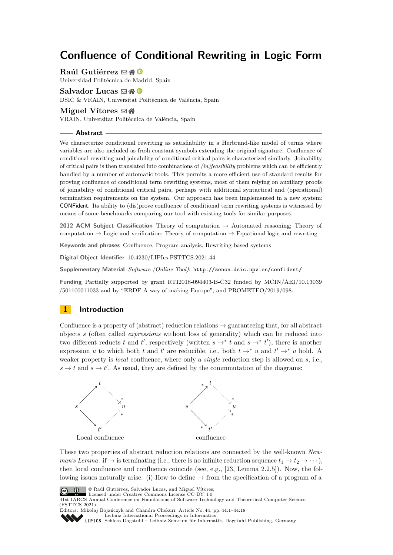# **Confluence of Conditional Rewriting in Logic Form**

**Raúl Gutiérrez** ⊠ A ®

Universidad Politécnica de Madrid, Spain

### **Salvador Lucas** ⊠ A **©**

DSIC & VRAIN, Universitat Politècnica de València, Spain

#### **Miguel Vítores** ⊠ **n**

VRAIN, Universitat Politècnica de València, Spain

#### **Abstract**

We characterize conditional rewriting as satisfiability in a Herbrand-like model of terms where variables are also included as fresh constant symbols extending the original signature. Confluence of conditional rewriting and joinability of conditional critical pairs is characterized similarly. Joinability of critical pairs is then translated into combinations of *(in)feasibility* problems which can be efficiently handled by a number of automatic tools. This permits a more efficient use of standard results for proving confluence of conditional term rewriting systems, most of them relying on auxiliary proofs of joinability of conditional critical pairs, perhaps with additional syntactical and (operational) termination requirements on the system. Our approach has been implemented in a new system: CONFident. Its ability to (dis)prove confluence of conditional term rewriting systems is witnessed by means of some benchmarks comparing our tool with existing tools for similar purposes.

**2012 ACM Subject Classification** Theory of computation → Automated reasoning; Theory of computation  $\rightarrow$  Logic and verification; Theory of computation  $\rightarrow$  Equational logic and rewriting

**Keywords and phrases** Confluence, Program analysis, Rewriting-based systems

**Digital Object Identifier** [10.4230/LIPIcs.FSTTCS.2021.44](https://doi.org/10.4230/LIPIcs.FSTTCS.2021.44)

**Supplementary Material** *Software (Online Tool)*: <http://zenon.dsic.upv.es/confident/>

**Funding** Partially supported by grant RTI2018-094403-B-C32 funded by MCIN/AEI/10.13039 /501100011033 and by "ERDF A way of making Europe", and PROMETEO/2019/098.

### <span id="page-0-0"></span>**1 Introduction**

Confluence is a property of (abstract) reduction relations  $\rightarrow$  guaranteeing that, for all abstract objects *s* (often called *expressions* without loss of generality) which can be reduced into two different reducts *t* and *t'*, respectively (written  $s \rightarrow^* t$  and  $s \rightarrow^* t'$ ), there is another expression *u* to which both *t* and *t*' are reducible, i.e., both  $t \rightarrow^* u$  and  $t' \rightarrow^* u$  hold. A weaker property is *local* confluence, where only a *single* reduction step is allowed on *s*, i.e.,  $s \to t$  and  $s \to t'$ . As usual, they are defined by the commmutation of the diagrams:



These two properties of abstract reduction relations are connected by the well-known *Newman's Lemma:* if  $\rightarrow$  is terminating (i.e., there is no infinite reduction sequence  $t_1 \rightarrow t_2 \rightarrow \cdots$  ), then local confluence and confluence coincide (see, e.g., [\[23,](#page-14-0) Lemma 2.2.5]). Now, the following issues naturally arise: (i) How to define  $\rightarrow$  from the specification of a program of a



© Raúl Gutiérrez, Salvador Lucas, and Miguel Vítores; licensed under Creative Commons License CC-BY 4.0

41st IARCS Annual Conference on Foundations of Software Technology and Theoretical Computer Science (FSTTCS 2021).

Editors: Mikołaj Bojańczyk and Chandra Chekuri; Article No. 44; pp. 44:1–44:18



[Leibniz International Proceedings in Informatics](https://www.dagstuhl.de/lipics/) [Schloss Dagstuhl – Leibniz-Zentrum für Informatik, Dagstuhl Publishing, Germany](https://www.dagstuhl.de)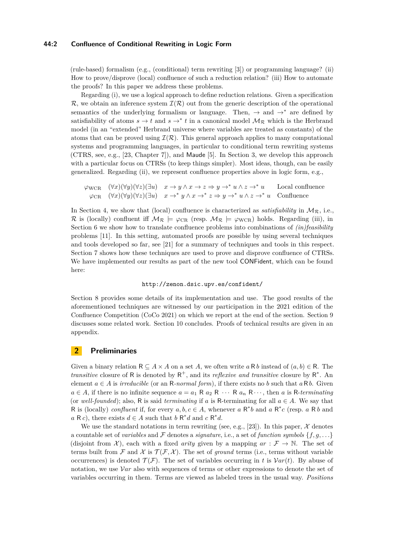#### **44:2 Confluence of Conditional Rewriting in Logic Form**

(rule-based) formalism (e.g., (conditional) term rewriting [\[3\]](#page-12-0)) or programming language? (ii) How to prove/disprove (local) confluence of such a reduction relation? (iii) How to automate the proofs? In this paper we address these problems.

Regarding (i), we use a logical approach to define reduction relations. Given a specification  $\mathcal{R}$ , we obtain an inference system  $\mathcal{I}(\mathcal{R})$  out from the generic description of the operational semantics of the underlying formalism or language. Then,  $\rightarrow$  and  $\rightarrow^*$  are defined by satisfiability of atoms  $s \to t$  and  $s \to^* t$  in a canonical model  $\mathcal{M}_{\mathcal{R}}$  which is the Herbrand model (in an "extended" Herbrand universe where variables are treated as constants) of the atoms that can be proved using  $\mathcal{I}(\mathcal{R})$ . This general approach applies to many computational systems and programming languages, in particular to conditional term rewriting systems (CTRS, see, e.g., [\[23,](#page-14-0) Chapter 7]), and Maude [\[5\]](#page-12-1). In Section [3,](#page-2-0) we develop this approach with a particular focus on CTRSs (to keep things simpler). Most ideas, though, can be easily generalized. Regarding (ii), we represent confluence properties above in logic form, e.g.,

$$
\varphi_{\text{WCR}} \quad (\forall x)(\forall y)(\forall z)(\exists u) \quad x \to y \land x \to z \Rightarrow y \to^* u \land z \to^* u
$$
 Local confluence  

$$
\varphi_{\text{CR}} \quad (\forall x)(\forall y)(\forall z)(\exists u) \quad x \to^* y \land x \to^* z \Rightarrow y \to^* u \land z \to^* u
$$
Confuence

In Section [4,](#page-5-0) we show that (local) confluence is characterized as *satisfiability* in  $\mathcal{M}_{\mathcal{R}}$ , i.e., R is (locally) confluent iff  $M_R \models \varphi_{CR}$  (resp.  $M_R \models \varphi_{WCR}$ ) holds. Regarding (iii), in Section [6](#page-6-0) we show how to translate confluence problems into combinations of *(in)feasibility* problems [\[11\]](#page-13-0). In this setting, automated proofs are possible by using several techniques and tools developed so far, see [\[21\]](#page-14-1) for a summary of techniques and tools in this respect. Section [7](#page-8-0) shows how these techniques are used to prove and disprove confluence of CTRSs. We have implemented our results as part of the new tool CONFident, which can be found here:

#### <http://zenon.dsic.upv.es/confident/>

Section [8](#page-10-0) provides some details of its implementation and use. The good results of the aforementioned techniques are witnessed by our participation in the 2021 edition of the Confluence Competition (CoCo 2021) on which we report at the end of the section. Section [9](#page-11-0) discusses some related work. Section [10](#page-12-2) concludes. Proofs of technical results are given in an appendix.

### **2 Preliminaries**

Given a binary relation  $R \subseteq A \times A$  on a set A, we often write  $a R b$  instead of  $(a, b) \in R$ . The *transitive* closure of R is denoted by  $R^+$ , and its *reflexive and transitive* closure by  $R^*$ . An element  $a \in A$  is *irreducible* (or an R-normal form), if there exists no b such that  $a \in B$ . Given  $a \in A$ , if there is no infinite sequence  $a = a_1 \, R \, a_2 \, R \, \cdots \, R \, a_n \, R \cdots$ , then *a* is R-*terminating* (or *well-founded*); also, R is said *terminating* if *a* is R-terminating for all  $a \in A$ . We say that R is (locally) *confluent* if, for every  $a, b, c \in A$ , whenever  $a \, R^*b$  and  $a \, R^*c$  (resp.  $a \, R b$  and  $a \, R \, c$ , there exists  $d \in A$  such that  $b \, R^* d$  and  $c \, R^* d$ .

We use the standard notations in term rewriting (see, e.g., [\[23\]](#page-14-0)). In this paper,  $\mathcal{X}$  denotes a countable set of *variables* and F denotes a *signature*, i.e., a set of *function symbols*  $\{f, g, \ldots\}$ (disjoint from X), each with a fixed *arity* given by a mapping  $ar : \mathcal{F} \to \mathbb{N}$ . The set of terms built from  $\mathcal F$  and  $\mathcal X$  is  $\mathcal T(\mathcal F,\mathcal X)$ . The set of *ground* terms (i.e., terms without variable occurrences) is denoted  $\mathcal{T}(\mathcal{F})$ . The set of variables occurring in *t* is  $\mathcal{V}ar(t)$ . By abuse of notation, we use V*ar* also with sequences of terms or other expressions to denote the set of variables occurring in them. Terms are viewed as labeled trees in the usual way. *Positions*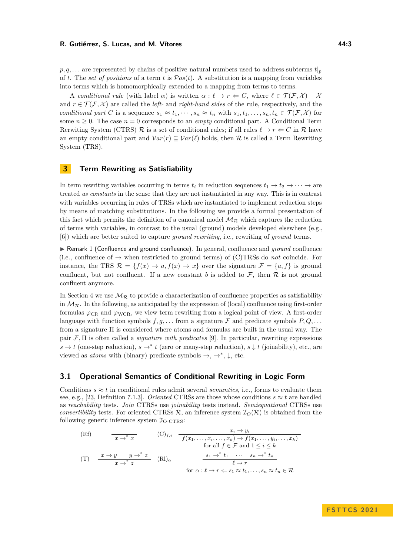#### **R. Gutiérrez, S. Lucas, and M. Vítores 44:3 All and M. All and All and All and All and All and All and All and All and All and All and All and All and All and All and All and All and All and All and All and All and All**

 $p, q, \ldots$  are represented by chains of positive natural numbers used to address subterms  $t|_p$ of *t*. The *set of positions* of a term *t* is P*os*(*t*). A substitution is a mapping from variables into terms which is homomorphically extended to a mapping from terms to terms.

A *conditional rule* (with label  $\alpha$ ) is written  $\alpha$  :  $\ell \to r \Leftarrow C$ , where  $\ell \in \mathcal{T}(\mathcal{F}, \mathcal{X}) - \mathcal{X}$ and  $r \in \mathcal{T}(\mathcal{F}, \mathcal{X})$  are called the *left*- and *right-hand sides* of the rule, respectively, and the *conditional part C* is a sequence  $s_1 \approx t_1, \dots, s_n \approx t_n$  with  $s_1, t_1, \dots, s_n, t_n \in \mathcal{T}(\mathcal{F}, \mathcal{X})$  for some  $n \geq 0$ . The case  $n = 0$  corresponds to an *empty* conditional part. A Conditional Term Rerwiting System (CTRS)  $\mathcal R$  is a set of conditional rules; if all rules  $\ell \to r \Leftarrow C$  in  $\mathcal R$  have an empty conditional part and  $Var(r) \subseteq Var(\ell)$  holds, then R is called a Term Rewriting System (TRS).

### <span id="page-2-0"></span>**3 Term Rewriting as Satisfiability**

In term rewriting variables occurring in terms  $t_i$  in reduction sequences  $t_1 \to t_2 \to \cdots \to \text{are}$ treated *as constants* in the sense that they are not instantiated in any way. This is in contrast with variables occurring in rules of TRSs which are instantiated to implement reduction steps by means of matching substitutions. In the following we provide a formal presentation of this fact which permits the definition of a canonical model  $\mathcal{M}_{\mathcal{R}}$  which captures the reduction of terms with variables, in contrast to the usual (ground) models developed elsewhere (e.g., [\[6\]](#page-13-1)) which are better suited to capture *ground rewriting*, i.e., rewriting of *ground* terms.

▶ Remark 1 (Confluence and ground confluence). In general, confluence and *ground* confluence (i.e., confluence of  $\rightarrow$  when restricted to ground terms) of (C)TRSs do *not* coincide. For instance, the TRS  $\mathcal{R} = \{f(x) \to a, f(x) \to x\}$  over the signature  $\mathcal{F} = \{a, f\}$  is ground confluent, but not confluent. If a new constant *b* is added to  $\mathcal{F}$ , then  $\mathcal{R}$  is not ground confluent anymore.

In Section [4](#page-5-0) we use  $\mathcal{M}_{\mathcal{R}}$  to provide a characterization of confluence properties as satisfiability in  $\mathcal{M}_{\mathcal{R}}$ . In the following, as anticipated by the expression of (local) confluence using first-order formulas  $\varphi_{CR}$  and  $\varphi_{WCR}$ , we view term rewriting from a logical point of view. A first-order language with function symbols  $f, g, \ldots$  from a signature  $\mathcal F$  and predicate symbols  $P, Q, \ldots$ from a signature Π is considered where atoms and formulas are built in the usual way. The pair F*,* Π is often called a *signature with predicates* [\[9\]](#page-13-2). In particular, rewriting expressions  $s \to t$  (one-step reduction),  $s \to^* t$  (zero or many-step reduction),  $s \downarrow t$  (joinability), etc., are viewed as *atoms* with (binary) predicate symbols  $\rightarrow$ ,  $\rightarrow^*$ ,  $\downarrow$ , etc.

### <span id="page-2-1"></span>**3.1 Operational Semantics of Conditional Rewriting in Logic Form**

Conditions  $s \approx t$  in conditional rules admit several *semantics*, i.e., forms to evaluate them see, e.g., [\[23,](#page-14-0) Definition 7.1.3]. *Oriented* CTRSs are those whose conditions  $s \approx t$  are handled as *reachability* tests. *Join* CTRSs use *joinability* tests instead. *Semiequational* CTRSs use *convertibility* tests. For oriented CTRSs  $\mathcal{R}$ , an inference system  $\mathcal{I}_O(\mathcal{R})$  is obtained from the following generic inference system  $\mathfrak{I}_{O-CTRS}$ :

(Rf) 
$$
\frac{x_i \rightarrow y_i}{x \rightarrow^* x}
$$
 (C)<sub>f,i</sub> 
$$
\frac{x_i \rightarrow y_i}{f(x_1, \ldots, x_i, \ldots, x_k) \rightarrow f(x_1, \ldots, y_i, \ldots, x_k)}
$$
for all  $f \in \mathcal{F}$  and  $1 \leq i \leq k$   
(T) 
$$
\frac{x \rightarrow y}{x \rightarrow^* z}
$$
 (Rl)<sub>α</sub> 
$$
\frac{s_1 \rightarrow^* t_1 \cdots s_n \rightarrow^* t_n}{\ell \rightarrow r}
$$
for  $\alpha : \ell \rightarrow r \Leftarrow s_1 \approx t_1, \ldots, s_n \approx t_n \in \mathcal{R}$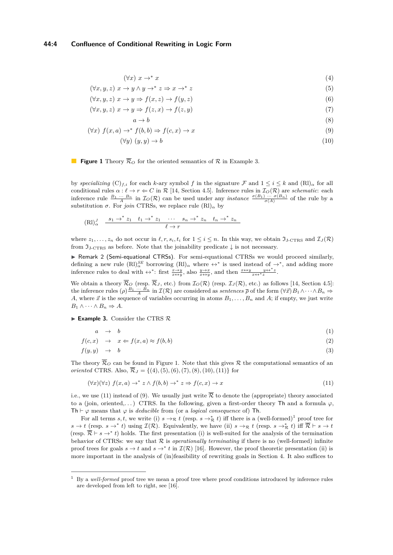$$
(\forall x) \; x \to^* x \tag{4}
$$

<span id="page-3-2"></span><span id="page-3-1"></span>
$$
(\forall x, y, z) \ x \to y \land y \to^* z \Rightarrow x \to^* z \tag{5}
$$

$$
(\forall x, y, z) \ x \to y \Rightarrow f(x, z) \to f(y, z) \tag{6}
$$

$$
(\forall x, y, z) \ x \to y \Rightarrow f(z, x) \to f(z, y) \tag{7}
$$

$$
a \to b
$$
  
( $\forall x$ )  $f(x, a) \to^* f(b, b) \Rightarrow f(c, x) \to x$  (9)

$$
(\forall y) \ (y, y) \to b \tag{10}
$$

#### **Figure 1** Theory  $\overline{\mathcal{R}}_O$  for the oriented semantics of  $\mathcal{R}$  in Example [3.](#page-3-0)  $\mathbb{R}^n$

by *specializing*  $(C)_{f,i}$  for each *k*-ary symbol *f* in the signature F and  $1 \le i \le k$  and  $(RI)_{\alpha}$  for all conditional rules  $\alpha : \ell \to r \Leftarrow C$  in  $\mathcal{R}$  [\[14,](#page-13-3) Section 4.5]. Inference rules in  $\mathcal{I}_O(\mathcal{R})$  are *schematic*: each inference rule  $\frac{B_1 \cdots B_n}{A}$  in  $\mathcal{I}_O(\mathcal{R})$  can be used under any *instance*  $\frac{\sigma(B_1) \cdots \sigma(B_n)}{\sigma(A)}$  of the rule by a substitution  $\sigma$ . For *join* CTRSs, we replace rule  $(RI)_{\alpha}$  by

$$
(\mathrm{R1})^J_{\alpha} \quad \xrightarrow{s_1 \to^* z_1} \quad t_1 \to^* z_1 \quad \cdots \quad s_n \to^* z_n \quad t_n \to^* z_n
$$

$$
\ell \to r
$$

where  $z_1, \ldots, z_n$  do not occur in  $\ell, r, s_i, t_i$  for  $1 \leq i \leq n$ . In this way, we obtain  $\mathfrak{I}_J(\text{CRs})$  and  $\mathcal{I}_J(\mathcal{R})$ from  $\mathfrak{I}_{J\text{-CTRS}}$  as before. Note that the joinability predicate  $\downarrow$  is not necessary.

<span id="page-3-5"></span>▶ Remark 2 (Semi-equational CTRSs). For semi-equational CTRSs we would proceed similarly, defining a new rule  $(RI)_{\alpha}^{SE}$  borrowing  $(RI)_{\alpha}$  where  $\leftrightarrow^*$  is used instead of  $\to^*$ , and adding more inference rules to deal with  $\leftrightarrow^*$ : first  $\frac{x \to y}{x \leftrightarrow y}$ , also  $\frac{y \to x}{x \leftrightarrow y}$ , and then  $\frac{x \leftrightarrow y}{x \leftrightarrow^* z}$ .

We obtain a theory  $\mathcal{R}_O$  (resp.  $\mathcal{R}_J$ , etc.) from  $\mathcal{I}_O(\mathcal{R})$  (resp.  $\mathcal{I}_J(\mathcal{R})$ , etc.) as follows [\[14,](#page-13-3) Section 4.5]: the inference rules  $(\rho) \frac{B_1 \cdots B_n}{A}$  in  $\mathcal{I}(\mathcal{R})$  are considered as *sentences*  $\overline{\rho}$  of the form  $(\forall \vec{x}) B_1 \land \cdots \land B_n \Rightarrow$ *A*, where  $\vec{x}$  is the sequence of variables occurring in atoms  $B_1, \ldots, B_n$  and  $A$ ; if empty, we just write  $B_1 \wedge \cdots \wedge B_n \Rightarrow A.$ 

#### <span id="page-3-0"></span>▶ **Example 3.** Consider the CTRS R

<span id="page-3-6"></span>
$$
a \rightarrow b \tag{1}
$$

$$
f(c, x) \rightarrow x \Leftarrow f(x, a) \approx f(b, b) \tag{2}
$$

$$
f(y, y) \rightarrow b \tag{3}
$$

The theory  $\overline{\mathcal{R}}_O$  can be found in Figure [1.](#page-3-1) Note that this gives  $\mathcal R$  the computational semantics of an *oriented* CTRS. Also,  $\overline{\mathcal{R}}_J = \{(4), (5), (6), (7), (8), (10), (11)\}$  $\overline{\mathcal{R}}_J = \{(4), (5), (6), (7), (8), (10), (11)\}$  $\overline{\mathcal{R}}_J = \{(4), (5), (6), (7), (8), (10), (11)\}$  $\overline{\mathcal{R}}_J = \{(4), (5), (6), (7), (8), (10), (11)\}$  $\overline{\mathcal{R}}_J = \{(4), (5), (6), (7), (8), (10), (11)\}$  $\overline{\mathcal{R}}_J = \{(4), (5), (6), (7), (8), (10), (11)\}$  $\overline{\mathcal{R}}_J = \{(4), (5), (6), (7), (8), (10), (11)\}$  $\overline{\mathcal{R}}_J = \{(4), (5), (6), (7), (8), (10), (11)\}$  $\overline{\mathcal{R}}_J = \{(4), (5), (6), (7), (8), (10), (11)\}$  $\overline{\mathcal{R}}_J = \{(4), (5), (6), (7), (8), (10), (11)\}$  $\overline{\mathcal{R}}_J = \{(4), (5), (6), (7), (8), (10), (11)\}$  $\overline{\mathcal{R}}_J = \{(4), (5), (6), (7), (8), (10), (11)\}$  $\overline{\mathcal{R}}_J = \{(4), (5), (6), (7), (8), (10), (11)\}$  $\overline{\mathcal{R}}_J = \{(4), (5), (6), (7), (8), (10), (11)\}$  $\overline{\mathcal{R}}_J = \{(4), (5), (6), (7), (8), (10), (11)\}$  for

<span id="page-3-3"></span>
$$
(\forall x)(\forall z) \ f(x,a) \to^* z \land f(b,b) \to^* z \Rightarrow f(c,x) \to x \tag{11}
$$

i.e., we use [\(11\)](#page-3-3) instead of [\(9\)](#page-3-2). We usually just write  $\overline{\mathcal{R}}$  to denote the (appropriate) theory associated to a (join, oriented,...) CTRS. In the following, given a first-order theory Th and a formula  $\varphi$ , Th  $\vdash \varphi$  means that  $\varphi$  is *deducible* from (or a *logical consequence* of) Th.

For all terms *s, t*, we write (i)  $s \to_{\mathcal{R}} t$  (resp.  $s \to_{\mathcal{R}}^* t$ ) iff there is a (well-formed)<sup>[1](#page-3-4)</sup> proof tree for  $s \to t$  (resp.  $s \to^* t$ ) using  $\mathcal{I}(\mathcal{R})$ . Equivalently, we have (ii)  $s \to_\mathcal{R} t$  (resp.  $s \to^*_{\mathcal{R}} t$ ) iff  $\overline{\mathcal{R}} \vdash s \to t$ (resp.  $\overline{\mathcal{R}} \vdash s \to^* t$ ) holds. The first presentation (i) is well-suited for the analysis of the termination behavior of CTRSs: we say that  $R$  is *operationally terminating* if there is no (well-formed) infinite proof trees for goals  $s \to t$  and  $s \to^* t$  in  $\mathcal{I}(\mathcal{R})$  [\[16\]](#page-13-4). However, the proof theoretic presentation (ii) is more important in the analysis of (in)feasibility of rewriting goals in Section [4.](#page-5-0) It also suffices to

<span id="page-3-4"></span><sup>1</sup> By a *well-formed* proof tree we mean a proof tree where proof conditions introduced by inference rules are developed from left to right, see [\[16\]](#page-13-4).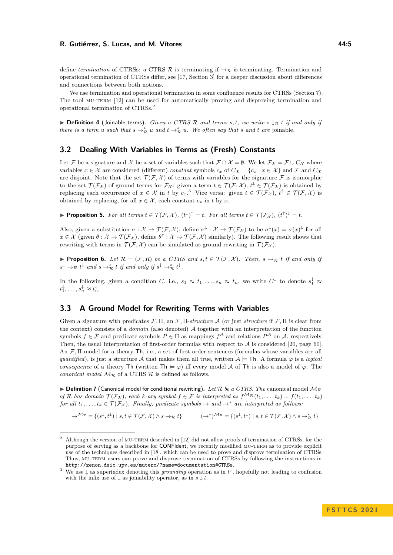define *termination* of CTRSs: a CTRS  $\mathcal{R}$  is terminating if  $\rightarrow_{\mathcal{R}}$  is terminating. Termination and operational termination of CTRSs differ, see [\[17,](#page-14-2) Section 3] for a deeper discussion about differences and connections between both notions.

We use termination and operational termination in some confluence results for CTRSs (Section [7\)](#page-8-0). The tool MU-TERM [\[12\]](#page-13-5) can be used for automatically proving and disproving termination and operational termination of CTRSs.[2](#page-4-0)

▶ **Definition 4** (Joinable terms)**.** *Given a CTRS* R *and terms s, t, we write s* ↓<sup>R</sup> *t if and only if there is a term u such that*  $s \rightarrow_{\mathcal{R}}^* u$  *and*  $t \rightarrow_{\mathcal{R}}^* u$ *. We often say that s and t are* joinable*.* 

### **3.2 Dealing With Variables in Terms as (Fresh) Constants**

Let F be a signature and X be a set of variables such that  $\mathcal{F} \cap \mathcal{X} = \emptyset$ . We let  $\mathcal{F}_{\mathcal{X}} = \mathcal{F} \cup C_{\mathcal{X}}$  where variables  $x \in \mathcal{X}$  are considered (different) *constant* symbols  $c_x$  of  $C_{\mathcal{X}} = \{c_x \mid x \in \mathcal{X}\}\$ and  $\mathcal{F}$  and  $C_{\mathcal{X}}$ are disjoint. Note that the set  $\mathcal{T}(\mathcal{F}, \mathcal{X})$  of terms with variables for the signature  $\mathcal F$  is isomorphic to the set  $\mathcal{T}(\mathcal{F}_\mathcal{X})$  of ground terms for  $\mathcal{F}_\mathcal{X}$ : given a term  $t \in \mathcal{T}(\mathcal{F},\mathcal{X}),$   $t^{\downarrow} \in \mathcal{T}(\mathcal{F}_\mathcal{X})$  is obtained by replacing each occurrence of  $x \in \mathcal{X}$  in *t* by  $c_x$ .<sup>[3](#page-4-1)</sup> Vice versa: given  $t \in \mathcal{T}(\mathcal{F}_\mathcal{X}), t^\uparrow \in \mathcal{T}(\mathcal{F}, \mathcal{X})$  is obtained by replacing, for all  $x \in \mathcal{X}$ , each constant  $c_x$  in *t* by *x*.

▶ **Proposition 5.** For all terms  $t \in \mathcal{T}(\mathcal{F}, \mathcal{X})$ ,  $(t^{\downarrow})^{\uparrow} = t$ . For all terms  $t \in \mathcal{T}(\mathcal{F}_{\mathcal{X}})$ ,  $(t^{\uparrow})^{\downarrow} = t$ .

Also, given a substitution  $\sigma : \mathcal{X} \to \mathcal{T}(\mathcal{F}, \mathcal{X})$ , define  $\sigma^{\downarrow} : \mathcal{X} \to \mathcal{T}(\mathcal{F}_{\mathcal{X}})$  to be  $\sigma^{\downarrow}(x) = \sigma(x)^{\downarrow}$  for all  $x \in \mathcal{X}$  (given  $\theta : \mathcal{X} \to \mathcal{T}(\mathcal{F}_\mathcal{X})$ , define  $\theta^\uparrow : \mathcal{X} \to \mathcal{T}(\mathcal{F}, \mathcal{X})$  similarly). The following result shows that rewriting with terms in  $\mathcal{T}(\mathcal{F}, \mathcal{X})$  can be simulated as ground rewriting in  $\mathcal{T}(\mathcal{F}_{\mathcal{X}})$ .

<span id="page-4-4"></span>**• Proposition 6.** Let  $\mathcal{R} = (\mathcal{F}, R)$  be a CTRS and  $s, t \in \mathcal{T}(\mathcal{F}, \mathcal{X})$ . Then,  $s \to \mathcal{R}$  *t* if and only if  $s^{\downarrow} \rightarrow_{\mathcal{R}} t^{\downarrow}$  and  $s \rightarrow_{\mathcal{R}}^* t$  if and only if  $s^{\downarrow} \rightarrow_{\mathcal{R}}^* t^{\downarrow}$ .

In the following, given a condition *C*, i.e.,  $s_1 \approx t_1, \ldots, s_n \approx t_n$ , we write  $C^{\downarrow}$  to denote  $s_1^{\downarrow} \approx$  $t_1^{\downarrow}, \ldots, s_n^{\downarrow} \approx t_n^{\downarrow}.$ 

### <span id="page-4-3"></span>**3.3 A Ground Model for Rewriting Terms with Variables**

Given a signature with predicates F*,* Π, an F*,* Π-*structure* A (or just *structure* if F*,* Π is clear from the context) consists of a *domain* (also denoted) A together with an interpretation of the function symbols  $f \in \mathcal{F}$  and predicate symbols  $P \in \Pi$  as mappings  $f^{\mathcal{A}}$  and relations  $P^{\mathcal{A}}$  on  $\mathcal{A}$ , respectively. Then, the usual interpretation of first-order formulas with respect to  $A$  is considered [\[20,](#page-14-3) page 60]. An F*,* Π-model for a theory Th, i.e., a set of first-order sentences (formulas whose variables are all *quantified*), is just a structure A that makes them all true, written  $A \models Th$ . A formula  $\varphi$  is a *logical consequence* of a theory Th (written Th  $\models \varphi$ ) iff every model A of Th is also a model of  $\varphi$ . The *canonical model*  $M_R$  of a CTRS  $R$  is defined as follows.

<span id="page-4-2"></span> $\triangleright$  **Definition 7** (Canonical model for conditional rewriting). Let R be a CTRS. The canonical model  $\mathcal{M}_{\mathcal{R}}$ *of*  $\mathcal{R}$  *has domain*  $\mathcal{T}(\mathcal{F_X})$ ; each *k-ary symbol*  $f \in \mathcal{F}$  *is interpreted as*  $f^{\mathcal{M}_{\mathcal{R}}}(t_1, \ldots, t_k) = f(t_1, \ldots, t_k)$ *for all*  $t_1, \ldots, t_k \in \mathcal{T}(\mathcal{F}_\mathcal{X})$ . Finally, predicate symbols  $\rightarrow$  and  $\rightarrow^*$  are interpreted as follows:

 $\rightarrow^{\mathcal{M}_{\mathcal{R}}}$  = { $(s^{\downarrow}, t^{\downarrow}) \mid s, t \in \mathcal{T}(\mathcal{F}, \mathcal{X}) \land s \rightarrow_{\mathcal{R}} t$ } ( $\rightarrow^{\ast})^{\mathcal{M}_{\mathcal{R}}}$  = { $(s^{\downarrow}, t^{\downarrow}) \mid s, t \in \mathcal{T}(\mathcal{F}, \mathcal{X}) \land s \rightarrow_{\mathcal{R}}^{\ast} t$ }

<span id="page-4-0"></span><sup>&</sup>lt;sup>2</sup> Although the version of MU-TERM described in [\[12\]](#page-13-5) did not allow proofs of termination of CTRSs, for the purpose of serving as a backbone for CONFident, we recently modified MU-TERM as to provide explicit use of the techniques described in [\[18\]](#page-14-4), which can be used to prove and disprove termination of CTRSs. Thus, MU-TERM users can prove and disprove termination of CTRSs by following the instructions in <http://zenon.dsic.upv.es/muterm/?name=documentation#CTRSs>.

<span id="page-4-1"></span><sup>&</sup>lt;sup>3</sup> We use  $\downarrow$  as superindex denoting this *grounding* operation as in  $t^{\downarrow}$ , hopefully not leading to confusion with the infix use of  $\downarrow$  as joinability operator, as in  $s \downarrow t$ .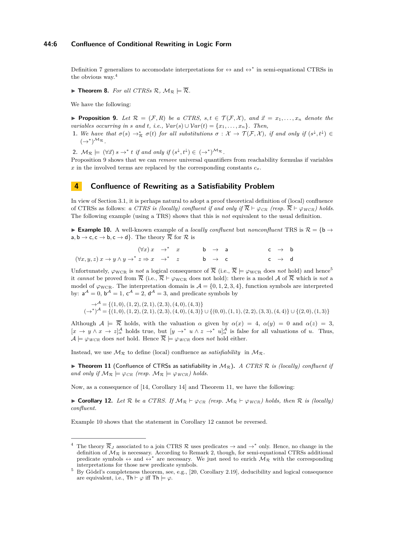#### **44:6 Confluence of Conditional Rewriting in Logic Form**

Definition [7](#page-4-2) generalizes to accomodate interpretations for  $\leftrightarrow$  and  $\leftrightarrow^*$  in semi-equational CTRSs in the obvious way.[4](#page-5-1)

<span id="page-5-7"></span> $\blacktriangleright$  **Theorem 8.** For all CTRSs R,  $\mathcal{M}_{\mathcal{R}} \models \overline{\mathcal{R}}$ .

<span id="page-5-2"></span>We have the following:

▶ **Proposition 9.** Let  $\mathcal{R} = (\mathcal{F}, R)$  be a CTRS, s, t  $\in \mathcal{T}(\mathcal{F}, \mathcal{X})$ , and  $\vec{x} = x_1, \ldots, x_n$  denote the *variables occurring in s and t, i.e.,*  $Var(s) \cup Var(t) = \{x_1, \ldots, x_n\}$ *. Then,* 

- **1.** We have that  $\sigma(s) \to_{\mathcal{R}}^* \sigma(t)$  for all substitutions  $\sigma: \mathcal{X} \to \mathcal{T}(\mathcal{F}, \mathcal{X})$ , if and only if  $(s^{\downarrow}, t^{\downarrow}) \in$  $(\rightarrow^*)^{\mathcal{M}_{\mathcal{R}}}$ .
- 2.  $\mathcal{M}_{\mathcal{R}} \models (\forall \vec{x}) s \rightarrow^* t \text{ if and only if } (s^{\downarrow}, t^{\downarrow}) \in (\rightarrow^*)^{\mathcal{M}_{\mathcal{R}}}$ .

Proposition [9](#page-5-2) shows that we can *remove* universal quantifiers from reachability formulas if variables  $x$  in the involved terms are replaced by the corresponding constants  $c_x$ .

### <span id="page-5-0"></span>**4 Confluence of Rewriting as a Satisfiability Problem**

In view of Section [3.1,](#page-2-1) it is perhaps natural to adopt a proof theoretical definition of (local) confluence of CTRSs as follows: *a CTRS is (locally) confluent if and only if*  $\overline{\mathcal{R}} \vdash \varphi_{CR}$  *(resp.*  $\overline{\mathcal{R}} \vdash \varphi_{WCR}$ *) holds.* The following example (using a TRS) shows that this is *not* equivalent to the usual definition.

<span id="page-5-5"></span>**Example 10.** A well-known example of a *locally confluent* but *nonconfluent* TRS is  $\mathcal{R} = \{\mathbf{b} \rightarrow \mathbf{c}\}$  $a, b \rightarrow c, c \rightarrow b, c \rightarrow d$ . The theory  $\overline{\mathcal{R}}$  for  $\mathcal{R}$  is

$$
(\forall x) x \rightarrow^* x \qquad b \rightarrow a \qquad c \rightarrow b
$$
  

$$
(\forall x, y, z) x \rightarrow y \land y \rightarrow^* z \Rightarrow x \rightarrow^* z \qquad b \rightarrow c \qquad c \rightarrow d
$$

Unfortunately,  $\varphi_{\text{WCR}}$  is *not* a logical consequence of  $\overline{\mathcal{R}}$  (i.e.,  $\overline{\mathcal{R}} \models \varphi_{\text{WCR}}$  does *not* hold) and hence<sup>[5](#page-5-3)</sup> it *cannot* be proved from  $\overline{\mathcal{R}}$  (i.e.,  $\overline{\mathcal{R}} \vdash \varphi_{\text{WCR}}$  does not hold): there is a model A of  $\overline{\mathcal{R}}$  which is *not* a model of  $\varphi_{\text{WCR}}$ . The interpretation domain is  $\mathcal{A} = \{0, 1, 2, 3, 4\}$ , function symbols are interpreted by:  $a^{\mathcal{A}} = 0$ ,  $b^{\mathcal{A}} = 1$ ,  $c^{\mathcal{A}} = 2$ ,  $d^{\mathcal{A}} = 3$ , and predicate symbols by

 $\rightarrow$ <sup>*A*</sup></sup> $=$ {(1,0), (1,2), (2, 1), (2, 3), (4,0), (4,3)}  $(\rightarrow^*)^{\mathcal{A}} = \{(1,0), (1,2), (2,1), (2,3), (4,0), (4,3)\} \cup \{(0,0), (1,1), (2,2), (3,3), (4,4)\} \cup \{(2,0), (1,3)\}$ 

Although  $A \models \overline{R}$  holds, with the valuation  $\alpha$  given by  $\alpha(x) = 4$ ,  $\alpha(y) = 0$  and  $\alpha(z) = 3$ ,  $[x \to y \land x \to z]_{\alpha}^{\mathcal{A}}$  holds true, but  $[y \to^* u \land z \to^* u]_{\alpha}^{\mathcal{A}}$  is false for all valuations of *u*. Thus,  $\mathcal{A} \models \varphi_{WCR}$  does *not* hold. Hence  $\overline{\mathcal{R}} \models \varphi_{WCR}$  does *not* hold either.

<span id="page-5-4"></span>Instead, we use  $\mathcal{M}_{\mathcal{R}}$  to define (local) confluence as *satisfiability* in  $\mathcal{M}_{\mathcal{R}}$ .

 $\triangleright$  **Theorem 11** (Confluence of CTRSs as satisfiability in  $\mathcal{M}_{\mathcal{R}}$ ). *A CTRS R is (locally) confluent if and only if*  $M_R \models \varphi_{CR}$  *(resp.*  $M_R \models \varphi_{WCR}$ *) holds.* 

<span id="page-5-6"></span>Now, as a consequence of [\[14,](#page-13-3) Corollary 14] and Theorem [11,](#page-5-4) we have the following:

**► Corollary 12.** Let R be a CTRS. If  $M_R \vdash \varphi_{CR}$  (resp.  $M_R \vdash \varphi_{WCR}$ ) holds, then R is (locally) *confluent.*

Example [10](#page-5-5) shows that the statement in Corollary [12](#page-5-6) cannot be reversed.

<span id="page-5-1"></span><sup>&</sup>lt;sup>4</sup> The theory  $\overline{\mathcal{R}}_J$  associated to a join CTRS  $\mathcal{R}$  uses predicates  $\rightarrow$  and  $\rightarrow^*$  only. Hence, no change in the definition of  $\mathcal{M}_{\mathcal{R}}$  is necessary. According to Remark [2,](#page-3-5) though, for semi-equational CTRSs additional predicate symbols  $\leftrightarrow$  and  $\leftrightarrow^*$  are necessary. We just need to enrich  $\mathcal{M}_{\mathcal{R}}$  with the corresponding interpretations for those new predicate symbols.

<span id="page-5-3"></span><sup>5</sup> By Gödel's completeness theorem, see, e.g., [\[20,](#page-14-3) Corollary 2.19], deducibility and logical consequence are equivalent, i.e.,  $\mathsf{Th} \vdash \varphi$  iff  $\mathsf{Th} \models \varphi$ .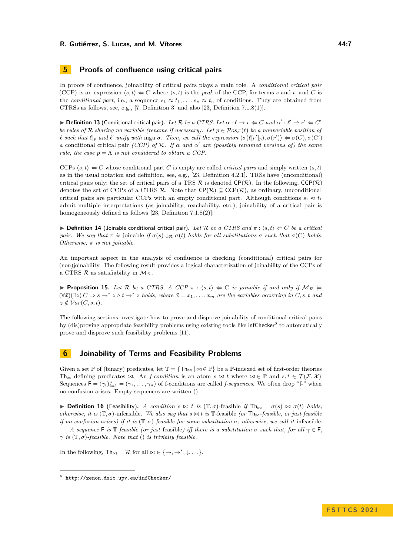### **5 Proofs of confluence using critical pairs**

In proofs of confluence, joinability of critical pairs plays a main role. A *conditional critical pair* (CCP) is an expression  $\langle s, t \rangle \Leftarrow C$  where  $\langle s, t \rangle$  is the *peak* of the CCP, for terms *s* and *t*, and *C* is the *conditional part*, i.e., a sequence  $s_1 \approx t_1, \ldots, s_n \approx t_n$  of conditions. They are obtained from CTRSs as follows, see, e.g., [\[7,](#page-13-6) Definition 3] and also [\[23,](#page-14-0) Definition 7.1.8(1)].

**▶ Definition 13** (Conditional critical pair). Let R be a CTRS. Let  $\alpha$  :  $\ell \to r \Leftarrow C$  and  $\alpha' : \ell' \to r' \Leftarrow C'$ *be rules of*  $R$  *sharing no variable (rename if necessary). Let*  $p \in Pos_{\mathcal{F}}(\ell)$  *be a nonvariable position of*  $\ell$  such that  $\ell|_p$  and  $\ell'$  unify with mgu  $\sigma$ . Then, we call the expression  $\langle \sigma(\ell[r']_p), \sigma(r') \rangle \Leftarrow \sigma(C), \sigma(C')$ *a* conditional critical pair *(CCP)* of  $\mathcal{R}$ *. If*  $\alpha$  *and*  $\alpha'$  *are (possibly renamed versions of)* the same *rule, the case*  $p = \Lambda$  *is not considered to obtain a CCP.* 

CCPs  $\langle s, t \rangle \leftarrow C$  whose conditional part *C* is empty are called *critical pairs* and simply written  $\langle s, t \rangle$ as in the usual notation and definition, see, e.g., [\[23,](#page-14-0) Definition 4.2.1]. TRSs have (unconditional) critical pairs only; the set of critical pairs of a TRS  $\mathcal R$  is denoted  $\mathsf{CP}(\mathcal R)$ . In the following,  $\mathsf{CCP}(\mathcal R)$ denotes the set of CCPs of a CTRS R. Note that  $\mathsf{CP}(\mathcal{R}) \subseteq \mathsf{CCP}(\mathcal{R})$ , as ordinary, unconditional critical pairs are particular CCPs with an empty conditional part. Although conditions  $s_i \approx t_i$ admit multiple interpretations (as joinability, reachability, etc.), joinability of a critical pair is homogeneously defined as follows [\[23,](#page-14-0) Definition 7.1.8(2)]:

<span id="page-6-3"></span>**▶ Definition 14** (Joinable conditional critical pair). Let R be a CTRS and  $π$  :  $\langle s, t \rangle \Leftarrow C$  be a critical *pair.* We say that  $\pi$  *is* joinable *if*  $\sigma(s) \downarrow_R \sigma(t)$  *holds* for all substitutions  $\sigma$  such that  $\sigma(C)$  holds. *Otherwise, π is not joinable.*

An important aspect in the analysis of confluence is checking (conditional) critical pairs for (non)joinability. The following result provides a logical characterization of joinability of the CCPs of a CTRS  $\mathcal{R}$  as satisfiability in  $\mathcal{M}_{\mathcal{R}}$ .

<span id="page-6-2"></span>**Proposition 15.** Let  $\mathcal{R}$  be a CTRS. A CCP  $\pi$  :  $\langle s, t \rangle \Leftarrow C$  is joinable if and only if  $\mathcal{M}_{\mathcal{R}} \models$  $(\forall \vec{x})(\exists z) C \Rightarrow s \rightarrow^* z \land t \rightarrow^* z$  holds, where  $\vec{x} = x_1, \ldots, x_m$  are the variables occurring in *C*, *s*, *t* and  $z \notin Var(C, s, t)$ .

The following sections investigate how to prove and disprove joinability of conditional critical pairs by (dis)proving appropriate feasibility problems using existing tools like infChecker<sup>[6](#page-6-1)</sup> to automatically prove and disprove such feasibility problems [\[11\]](#page-13-0).

### <span id="page-6-0"></span>**6 Joinability of Terms and Feasibility Problems**

Given a set  $\mathbb{P}$  of (binary) predicates, let  $\mathbb{T} = {\mathsf{Th}} \otimes {\mathbb{P}}$  be a  $\mathbb{P}$ -indexed set of first-order theories Th*▷◁* defining predicates *▷◁*. An *f-condition* is an atom *s ▷◁ t* where *▷◁* ∈ P and *s, t* ∈ T (F*,* X ). Sequences  $F = (\gamma_i)_{i=1}^n = (\gamma_1, \dots, \gamma_n)$  of f-conditions are called *f-sequences*. We often drop "f-" when no confusion arises. Empty sequences are written ().

▶ **Definition 16** (Feasibility). *A condition s*  $\bowtie$  *t is*  $(\mathbb{T}, \sigma)$ -feasible *if*  $\mathsf{Th}_{\bowtie}$  ⊢  $\sigma(s) \bowtie \sigma(t)$  *holds*; *otherwise, it is*  $(\mathbb{T}, \sigma)$ -infeasible. We also say that  $s \bowtie t$  is  $\mathbb{T}$ -feasible (or  $\mathsf{Th}_{\bowtie}$ -feasible, or just feasible *if no confusion arises) if it is*  $(\mathbb{T}, \sigma)$ -*feasible for some substitution*  $\sigma$ *; otherwise, we call it* infeasible.

*A* sequence **F** is  $\mathbb{T}$ *-feasible (or just* feasible) iff there is a substitution  $\sigma$  such that, for all  $\gamma \in \mathbb{F}$ ,  $\gamma$  *is*  $(\mathbb{T}, \sigma)$ -feasible. Note that () *is trivially feasible.* 

In the following,  $\mathsf{Th}_{\bowtie} = \overline{\mathcal{R}}$  for all  $\bowtie \in \{\rightarrow, \rightarrow^*, \downarrow, \ldots\}.$ 

<span id="page-6-1"></span> $^6$  http://zenon.dsic.upv.es/inf $\text{Checker}/$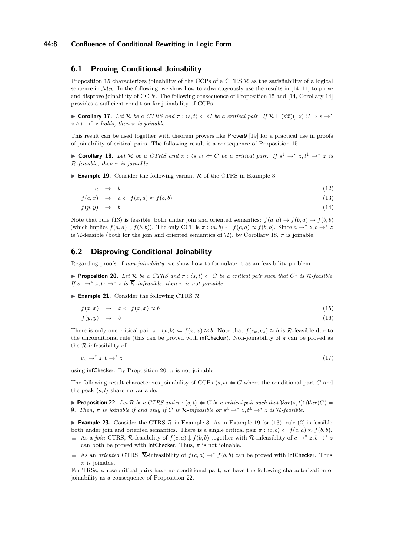#### **44:8 Confluence of Conditional Rewriting in Logic Form**

### **6.1 Proving Conditional Joinability**

Proposition [15](#page-6-2) characterizes joinability of the CCPs of a CTRS  $\mathcal R$  as the satisfiability of a logical sentence in  $\mathcal{M}_{\mathcal{R}}$ . In the following, we show how to advantageously use the results in [\[14,](#page-13-3) [11\]](#page-13-0) to prove and disprove joinability of CCPs. The following consequence of Proposition [15](#page-6-2) and [\[14,](#page-13-3) Corollary 14] provides a sufficient condition for joinability of CCPs.

<span id="page-7-6"></span>**► Corollary 17.** Let R be a CTRS and  $\pi$  :  $\langle s, t \rangle \Leftarrow C$  be a critical pair. If  $\overline{\mathcal{R}}$   $\vdash (\forall \vec{x})(\exists z) C \Rightarrow s \rightarrow^*$  $z \wedge t \rightarrow^* z$  *holds, then*  $\pi$  *is joinable.* 

This result can be used together with theorem provers like Prover9 [\[19\]](#page-14-5) for a practical use in proofs of joinability of critical pairs. The following result is a consequence of Proposition [15.](#page-6-2)

<span id="page-7-1"></span>▶ **Corollary 18.** Let R be a CTRS and  $π$  :  $\langle s,t \rangle$   $\Leftrightarrow$  C be a critical pair. If  $s^{\downarrow} \to^* z, t^{\downarrow} \to^* z$  is R*-feasible, then π is joinable.*

<span id="page-7-3"></span> $\triangleright$  **Example 19.** Consider the following variant  $\mathcal{R}$  of the CTRS in Example [3:](#page-3-0)

<span id="page-7-0"></span>
$$
a \rightarrow b \tag{12}
$$

 $f(c, x) \rightarrow a \Leftarrow f(x, a) \approx f(b, b)$  (13)

$$
f(y, y) \rightarrow b \tag{14}
$$

Note that rule [\(13\)](#page-7-0) is feasible, both under join and oriented semantics:  $f(a, a) \rightarrow f(b, a) \rightarrow f(b, b)$ (which implies  $f(a, a) \downarrow f(b, b)$ ). The only CCP is  $\pi : \langle a, b \rangle \Leftarrow f(c, a) \approx f(b, b)$ . Since  $a \rightarrow^* z, b \rightarrow^* z$ is  $\overline{\mathcal{R}}$ -feasible (both for the join and oriented semantics of  $\mathcal{R}$ ), by Corollary [18,](#page-7-1)  $\pi$  is joinable.

#### **6.2 Disproving Conditional Joinability**

Regarding proofs of *non-joinability*, we show how to formulate it as an feasibility problem.

<span id="page-7-2"></span>▶ **Proposition 20.** *Let*  $\mathcal{R}$  *be a CTRS and*  $\pi$  :  $\langle s, t \rangle \Leftarrow C$  *be a critical pair such that*  $C^{\downarrow}$  *is*  $\overline{\mathcal{R}}$ *-feasible. If*  $s^{\downarrow} \rightarrow^* z, t^{\downarrow} \rightarrow^* z$  *is*  $\overline{\mathcal{R}}$ -infeasible, then  $\pi$  *is not joinable.* 

 $\blacktriangleright$  **Example 21.** Consider the following CTRS  $\mathcal{R}$ 

$$
f(x,x) \quad \to \quad x \Leftarrow f(x,x) \approx b \tag{15}
$$

$$
f(y, y) \rightarrow b \tag{16}
$$

There is only one critical pair  $\pi$  :  $\langle x, b \rangle \Leftarrow f(x, x) \approx b$ . Note that  $f(c_x, c_x) \approx b$  is  $\overline{\mathcal{R}}$ -feasible due to the unconditional rule (this can be proved with infChecker). Non-joinability of *π* can be proved as the R-infeasibility of

$$
c_x \to^* z, b \to^* z \tag{17}
$$

using infChecker. By Proposition [20,](#page-7-2)  $\pi$  is not joinable.

The following result characterizes joinability of CCPs  $\langle s, t \rangle \leftarrow C$  where the conditional part *C* and the peak  $\langle s, t \rangle$  share no variable.

<span id="page-7-4"></span>**► Proposition 22.** Let  $\mathcal{R}$  be a CTRS and  $\pi$  :  $\langle s, t \rangle \Leftarrow C$  be a critical pair such that  $\text{Var}(s, t) \cap \text{Var}(C) =$  $\emptyset$ *. Then,* π *is joinable if and only if C is*  $\overline{\mathcal{R}}$ -*infeasible or*  $s^{\downarrow}$  → \* *z*,  $t^{\downarrow}$  → \* *z is*  $\overline{\mathcal{R}}$ -*feasible.* 

 $\blacktriangleright$  **Example 23.** Consider the CTRS  $\mathcal{R}$  in Example [3.](#page-3-0) As in Example [19](#page-7-3) for [\(13\)](#page-7-0), rule [\(2\)](#page-3-6) is feasible, both under join and oriented semantics. There is a single critical pair  $\pi$  :  $\langle c, b \rangle \Leftarrow f(c, a) \approx f(b, b)$ .

- As a *join* CTRS,  $\overline{\mathcal{R}}$ -feasibility of  $f(c, a) \downarrow f(b, b)$  together with  $\overline{\mathcal{R}}$ -infeasiblity of  $c \to^* z, b \to^* z$ can both be proved with infChecker. Thus,  $\pi$  is not joinable.
- As an *oriented* CTRS,  $\overline{\mathcal{R}}$ -infeasibility of  $f(c, a) \rightarrow^* f(b, b)$  can be proved with infChecker. Thus,  $\pi$  is joinable.

<span id="page-7-5"></span>For TRSs, whose critical pairs have no conditional part, we have the following characterization of joinability as a consequence of Proposition [22.](#page-7-4)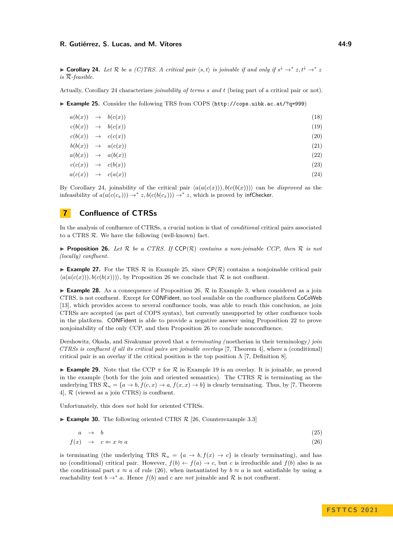▶ **Corollary 24.** Let R be a (C)TRS. A critical pair  $\langle s,t \rangle$  is joinable if and only if  $s^{\downarrow} \to^* z, t^{\downarrow} \to^* z$ *is* R*-feasible.*

<span id="page-8-1"></span>Actually, Corollary [24](#page-7-5) characterizes *joinability of terms s and t* (being part of a critical pair or not).

▶ **Example 25.** Consider the following TRS from COPS (<http://cops.uibk.ac.at/?q=999>)

| a(b(x)) | $\rightarrow$ | b(c(x)) | (18)               |
|---------|---------------|---------|--------------------|
| c(b(x)) | $\rightarrow$ | b(c(x)) | (19)               |
| c(b(x)) | $\rightarrow$ | c(c(x)) | $\left( 20\right)$ |
| b(b(x)) | $\rightarrow$ | a(c(x)) | $\left( 21\right)$ |
| a(b(x)) | $\rightarrow$ | a(b(x)) | $\left( 22\right)$ |
| c(c(x)) | $\rightarrow$ | c(b(x)) | (23)               |
| a(c(x)) | $\rightarrow$ | c(a(x)) | (24)               |

By Corollary [24,](#page-7-5) joinability of the critical pair  $\langle a(a(c(x))), b(c(b(x))) \rangle$  can be *disproved* as the infeasibility of  $a(a(c(c_x))) \rightarrow^* z, b(c(b(c_x))) \rightarrow^* z$ , which is proved by infChecker.

## <span id="page-8-0"></span>**7 Confluence of CTRSs**

In the analysis of confluence of CTRSs, a crucial notion is that of *conditional* critical pairs associated to a CTRS  $\mathcal{R}$ . We have the following (well-known) fact.

<span id="page-8-2"></span>**Proposition 26.** *Let*  $\mathcal{R}$  *be a CTRS. If*  $\mathsf{CCP}(\mathcal{R})$  *contains a non-joinable CCP, then*  $\mathcal{R}$  *is not (locally) confluent.*

**Example 27.** For the TRS  $\mathcal R$  in Example [25,](#page-8-1) since  $\mathsf{CP}(\mathcal R)$  contains a nonjoinable critical pair  $\langle a(a(c(x))), b(c(b(x)))) \rangle$ , by Proposition [26](#page-8-2) we conclude that  $\mathcal R$  is not confluent.

**Example 28.** As a consequence of Proposition [26,](#page-8-2)  $\mathcal{R}$  in Example [3,](#page-3-0) when considered as a join CTRS, is not confluent. Except for CONFident, no tool available on the confluence platform CoCoWeb [\[13\]](#page-13-7), which provides access to several confluence tools, was able to reach this conclusion, as join CTRSs are accepted (as part of COPS syntax), but currently unsupported by other confluence tools in the platform. CONFident is able to provide a negative answer using Proposition [22](#page-7-4) to prove nonjoinability of the only CCP, and then Proposition [26](#page-8-2) to conclude nonconfluence.

Dershowitz, Okada, and Sivakumar proved that *a terminating (*noetherian in their terminology*) join CTRSs is confluent if all its critical pairs are joinable overlays* [\[7,](#page-13-6) Theorem 4], where a (conditional) critical pair is an overlay if the critical position is the top position  $\Lambda$  [\[7,](#page-13-6) Definition 8].

**Example 29.** Note that the CCP  $\pi$  for  $\mathcal{R}$  in Example [19](#page-7-3) is an overlay. It is joinable, as proved in the example (both for the join and oriented semantics). The CTRS  $\mathcal R$  is terminating as the underlying TRS  $\mathcal{R}_u = \{a \to b, f(c, x) \to a, f(x, x) \to b\}$  is clearly terminating. Thus, by [\[7,](#page-13-6) Theorem 4], R (viewed as a join CTRS) is confluent.

<span id="page-8-4"></span>Unfortunately, this does *not* hold for oriented CTRSs.

 $\blacktriangleright$  **Example 30.** The following oriented CTRS  $\mathcal{R}$  [\[26,](#page-14-6) Counterexample 3.3]

<span id="page-8-3"></span>
$$
a \rightarrow b \tag{25}
$$

$$
f(x) \rightarrow c \Leftarrow x \approx a \tag{26}
$$

is terminating (the underlying TRS  $\mathcal{R}_u = \{a \to b, f(x) \to c\}$  is clearly terminating), and has no (conditional) critical pair. However,  $f(b) \leftarrow f(a) \rightarrow c$ , but *c* is irreducible and  $f(b)$  also is as the conditional part  $x \approx a$  of rule [\(26\)](#page-8-3), when instantiated by  $b \approx a$  is not satisfiable by using a reachability test  $b \to^* a$ . Hence  $f(b)$  and *c* are *not* joinable and R is not confluent.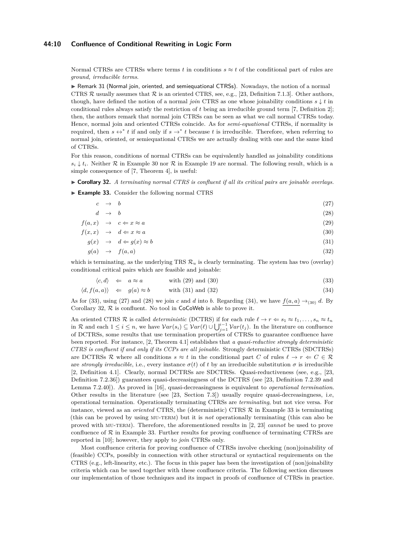#### **44:10 Confluence of Conditional Rewriting in Logic Form**

Normal CTRSs are CTRSs where terms *t* in conditions  $s \approx t$  of the conditional part of rules are *ground, irreducible terms*.

<span id="page-9-4"></span>▶ Remark 31 (Normal join, oriented, and semiequational CTRSs). Nowadays, the notion of a normal CTRS  $\mathcal R$  usually assumes that  $\mathcal R$  is an oriented CTRS, see, e.g., [\[23,](#page-14-0) Definition 7.1.3]. Other authors, though, have defined the notion of a normal *join* CTRS as one whose joinability conditions  $s \downarrow t$  in conditional rules always satisfy the restriction of *t* being an irreducible ground term [\[7,](#page-13-6) Definition 2]; then, the authors remark that normal join CTRSs can be seen as what we call normal CTRSs today. Hence, normal join and oriented CTRSs coincide. As for *semi-equational* CTRSs, if normality is required, then  $s \leftrightarrow^* t$  if and only if  $s \to^* t$  because *t* is irreducible. Therefore, when referring to normal join, oriented, or semiequational CTRSs we are actually dealing with one and the same kind of CTRSs.

For this reason, conditions of normal CTRSs can be equivalently handled as joinability conditions  $s_i \downarrow t_i$ . Neither R in Example [30](#page-8-4) nor R in Example [19](#page-7-3) are normal. The following result, which is a simple consequence of [\[7,](#page-13-6) Theorem 4], is useful:

<span id="page-9-2"></span>▶ **Corollary 32.** *A terminating normal CTRS is confluent if all its critical pairs are joinable overlays.*

<span id="page-9-3"></span>▶ **Example 33.** Consider the following normal CTRS

<span id="page-9-0"></span>

| $c \rightarrow b$ |                                               | (27) |
|-------------------|-----------------------------------------------|------|
| $d \rightarrow b$ |                                               | (28) |
|                   | $f(a,x) \rightarrow c \Leftarrow x \approx a$ | (29) |

$$
f(x,x) \rightarrow d \Leftarrow x \approx a \tag{30}
$$

$$
g(x) \rightarrow d \Leftarrow g(x) \approx b \tag{31}
$$

 $g(a) \rightarrow f(a,a)$  (32)

which is terminating, as the underlying TRS  $\mathcal{R}_u$  is clearly terminating. The system has two (overlay) conditional critical pairs which are feasible and joinable:

<span id="page-9-1"></span>
$$
\langle c, d \rangle \quad \Leftarrow \quad a \approx a \tag{33}
$$

$$
\langle d, f(a, a) \rangle \Leftarrow g(a) \approx b \qquad \text{with (31) and (32)} \tag{34}
$$

As for [\(33\)](#page-9-1), using [\(27\)](#page-9-0) and [\(28\)](#page-9-0) we join *c* and *d* into *b*. Regarding [\(34\)](#page-9-1), we have  $f(a, a) \rightarrow_{(30)} d$  $f(a, a) \rightarrow_{(30)} d$  $f(a, a) \rightarrow_{(30)} d$ . By Corollary [32,](#page-9-2)  $\mathcal R$  is confluent. No tool in CoCoWeb is able to prove it.

An oriented CTRS  $\mathcal{R}$  is called *deterministic* (DCTRS) if for each rule  $\ell \to r \Leftarrow s_1 \approx t_1, \ldots, s_n \approx t_n$ in R and each  $1 \leq i \leq n$ , we have  $Var(s_i) \subseteq Var(\ell) \cup \bigcup_{j=1}^{i-1} Var(t_j)$ . In the literature on confluence of DCTRSs, some results that use termination properties of CTRSs to guarantee confluence have been reported. For instance, [\[2,](#page-12-3) Theorem 4.1] establishes that *a quasi-reductive strongly deterministic CTRS is confluent if and only if its CCPs are all joinable*. Strongly deterministic CTRSs (SDCTRSs) are DCTRSs R where all conditions  $s \approx t$  in the conditional part C of rules  $\ell \to r \Leftarrow C \in \mathcal{R}$ are *strongly irreducible*, i.e., every instance  $\sigma(t)$  of t by an irreducible substitution  $\sigma$  is irreducible [\[2,](#page-12-3) Definition 4.1]. Clearly, normal DCTRSs are SDCTRSs. Quasi-reductiveness (see, e.g., [\[23,](#page-14-0) Definition 7.2.36]) guarantees quasi-decreasingness of the DCTRS (see [\[23,](#page-14-0) Definition 7.2.39 and Lemma 7.2.40]). As proved in [\[16\]](#page-13-4), quasi-decreasingness is equivalent to *operational termination*. Other results in the literature (see [\[23,](#page-14-0) Section 7.3]) usually require quasi-decreasingness, i.e, operational termination. Operationally terminating CTRSs are *terminating*, but not vice versa. For instance, viewed as an *oriented* CTRS, the (deterministic) CTRS  $R$  in Example [33](#page-9-3) is terminating (this can be proved by using mu-term) but it is *not* operationally terminating (this can also be proved with mu-term). Therefore, the aforementioned results in [\[2,](#page-12-3) [23\]](#page-14-0) *cannot* be used to prove confluence of  $\mathcal R$  in Example [33.](#page-9-3) Further results for proving confluence of terminating CTRSs are reported in [\[10\]](#page-13-8); however, they apply to *join* CTRSs only.

Most confluence criteria for proving confluence of CTRSs involve checking (non)joinability of (feasible) CCPs, possibly in connection with other structural or syntactical requirements on the CTRS (e.g., left-linearity, etc.). The focus in this paper has been the investigation of (non)joinability criteria which can be used together with these confluence criteria. The following section discusses our implementation of those techniques and its impact in proofs of confluence of CTRSs in practice.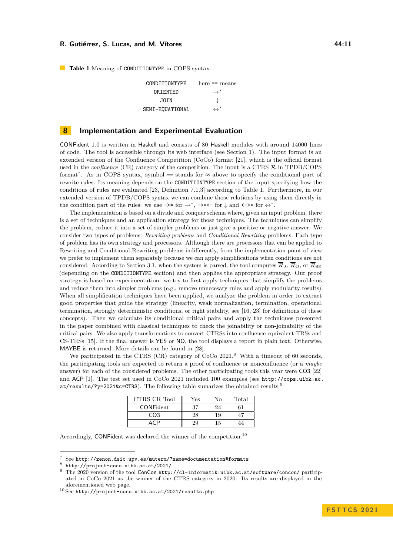<span id="page-10-2"></span>**Table 1** Meaning of CONDITIONTYPE in COPS syntax.

| CONDITIONTYPE   | here $==$ means          |
|-----------------|--------------------------|
| ORTENTED        | $\rightarrow^*$          |
| JOTN.           |                          |
| SEMI-EQUATIONAL | $\overline{\phantom{a}}$ |

### <span id="page-10-0"></span>**8 Implementation and Experimental Evaluation**

CONFident 1.0 is written in Haskell and consists of 80 Haskell modules with around 14000 lines of code. The tool is accessible through its web interface (see Section [1\)](#page-0-0). The input format is an extended version of the Confluence Competition (CoCo) format [\[21\]](#page-14-1), which is the official format used in the *confluence* (CR) category of the competition. The input is a CTRS  $\mathcal{R}$  in TPDB/COPS format<sup>[7](#page-10-1)</sup>. As in COPS syntax, symbol == stands for  $\approx$  above to specify the conditional part of rewrite rules. Its meaning depends on the CONDITIONTYPE section of the input specifying how the conditions of rules are evaluated [\[23,](#page-14-0) Definition 7.1.3] according to Table [1.](#page-10-2) Furthermore, in our extended version of TPDB/COPS syntax we can combine those relations by using them directly in the condition part of the rules: we use  $\rightarrow$ \* for  $\rightarrow$ \*,  $\rightarrow$ \* $\leftarrow$  for  $\downarrow$  and  $\leftarrow$ >\* for  $\leftrightarrow$ \*.

The implementation is based on a divide and conquer schema where, given an input problem, there is a set of techniques and an application strategy for those techniques. The techniques can simplify the problem, reduce it into a set of simpler problems or just give a positive or negative answer. We consider two types of problems: *Rewriting problems* and *Conditional Rewriting* problems. Each type of problem has its own strategy and processors. Although there are processors that can be applied to Rewriting and Conditional Rewriting problems indifferently, from the implementation point of view we prefer to implement them separately because we can apply simplifications when conditions are not considered. According to Section [3.1,](#page-2-1) when the system is parsed, the tool computes  $\overline{\mathcal{R}}_J$ ,  $\overline{\mathcal{R}}_O$ , or  $\overline{\mathcal{R}}_{\text{SE}}$ (depending on the CONDITIONTYPE section) and then applies the appropriate strategy. Our proof strategy is based on experimentation: we try to first apply techniques that simplify the problems and reduce them into simpler problems (e.g., remove unnecesary rules and apply modularity results). When all simplification techniques have been applied, we analyze the problem in order to extract good properties that guide the strategy (linearity, weak normalization, termination, operational termination, strongly deterministic conditions, or right stability, see [\[16,](#page-13-4) [23\]](#page-14-0) for definitions of these concepts). Then we calculate its conditional critical pairs and apply the techniques presented in the paper combined with classical techniques to check the joinability or non-joinability of the critical pairs. We also apply transformations to convert CTRSs into confluence equivalent TRSs and CS-TRSs [\[15\]](#page-13-9). If the final answer is YES or NO, the tool displays a report in plain text. Otherwise, MAYBE is returned. More details can be found in [\[28\]](#page-14-7).

We participated in the CTRS (CR) category of CoCo 2021.<sup>[8](#page-10-3)</sup> With a timeout of 60 seconds, the participating tools are expected to return a proof of confluence or nonconfluence (or a *maybe* answer) for each of the considered problems. The other participating tools this year were CO3 [\[22\]](#page-14-8) and ACP [\[1\]](#page-12-4). The test set used in CoCo 2021 included 100 examples (see [http://cops.uibk.ac.](http://cops.uibk.ac.at/results/?y=2021&c=CTRS) [at/results/?y=2021&c=CTRS](http://cops.uibk.ac.at/results/?y=2021&c=CTRS)). The following table sumarizes the obtained results:<sup>[9](#page-10-4)</sup>

| CTRS CR Tool     | Yes | Nο | Total |
|------------------|-----|----|-------|
| <b>CONFident</b> | 37  | 24 |       |
| CO <sub>3</sub>  | 28  | 19 |       |
|                  | 29  | 15 |       |

Accordingly, CONFident was declared the winner of the competition.<sup>[10](#page-10-5)</sup>

<span id="page-10-1"></span><sup>7</sup> See <http://zenon.dsic.upv.es/muterm/?name=documentation#formats>

<span id="page-10-3"></span> $8$  <http://project-coco.uibk.ac.at/2021/>

<span id="page-10-4"></span><sup>&</sup>lt;sup>9</sup> The 2020 version of the tool ConCon <http://cl-informatik.uibk.ac.at/software/concon/> participated in CoCo 2021 as the winner of the CTRS category in 2020. Its results are displayed in the aforementioned web page.

<span id="page-10-5"></span> $^{10}\rm{See}$ <http://project-coco.uibk.ac.at/2021/results.php>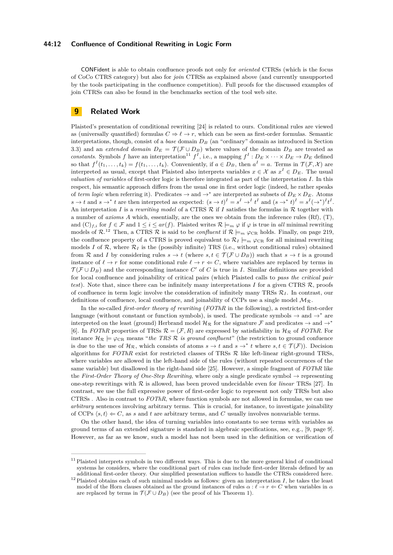#### **44:12 Confluence of Conditional Rewriting in Logic Form**

CONFident is able to obtain confluence proofs not only for *oriented* CTRSs (which is the focus of CoCo CTRS category) but also for *join* CTRSs as explained above (and currently unsupported by the tools participating in the confluence competition). Full proofs for the discussed examples of join CTRSs can also be found in the benchmarks section of the tool web site.

### <span id="page-11-0"></span>**9 Related Work**

Plaisted's presentation of conditional rewriting [\[24\]](#page-14-9) is related to ours. Conditional rules are viewed as (universally quantified) formulas  $C \Rightarrow \ell \to r$ , which can be seen as first-order formulas. Semantic interpretations, though, consist of a *base* domain  $D_B$  (an "ordinary" domain as introduced in Section [3.3\)](#page-4-3) and an *extended domain*  $D_E = \mathcal{T}(\mathcal{F} \cup D_B)$  where values of the domain  $D_B$  are treated as *constants*. Symbols *f* have an interpretation<sup>[11](#page-11-1)</sup>  $f^I$ , i.e., a mapping  $f^I: D_E \times \cdots \times D_E \to D_E$  defined so that  $f^I(t_1, \ldots, t_k) = f(t_1, \ldots, t_k)$ . Conveniently, if  $a \in D_B$ , then  $a^I = a$ . Terms in  $\mathcal{T}(\mathcal{F}, \mathcal{X})$  are interpreted as usual, except that Plaisted also interprets variables  $x \in \mathcal{X}$  as  $x^I \in D_E$ . The usual *valuation of variables* of first-order logic is therefore integrated as part of the interpretation *I*. In this respect, his semantic approach differs from the usual one in first order logic (indeed, he rather speaks of *term logic* when referring it). Predicates  $\rightarrow$  and  $\rightarrow^*$  are interpreted as subsets of  $D_E \times D_E$ . Atoms  $s \to t$  and  $s \to^* t$  are then interpreted as expected:  $(s \to t)^I = s^I \to t^I t^I$  and  $(s \to^* t)^I = s^I (\to^*)^I t^I$ . An interpretation *I* is a *rewriting model* of a CTRS R if *I* satisfies the formulas in R together with a number of *axioms A* which, essentially, are the ones we obtain from the inference rules (Rf), (T), and  $(C)_{f,i}$  for  $f \in \mathcal{F}$  and  $1 \leq i \leq ar(f)$ . Plaisted writes  $\mathcal{R} \models_m \varphi$  if  $\varphi$  is true in *all* minimal rewriting models of  $\mathcal{R}^{12}$  $\mathcal{R}^{12}$  $\mathcal{R}^{12}$  Then, a CTRS  $\mathcal{R}$  is said to be *confluent* if  $\mathcal{R} \models_m \varphi_{CR}$  holds. Finally, on page 219, the confluence property of a CTRS is proved equivalent to  $\mathcal{R}_I \models_m \varphi_{\text{CR}}$  for all minimal rewriting models *I* of  $\mathcal{R}$ , where  $\mathcal{R}_I$  is the (possibly infinite) TRS (i.e., without conditional rules) obtained from R and *I* by considering rules  $s \to t$  (where  $s, t \in \mathcal{T}(\mathcal{F} \cup D_B)$ ) such that  $s \to t$  is a ground instance of  $\ell \to r$  for some conditional rule  $\ell \to r \Leftarrow C$ , where variables are replaced by terms in  $\mathcal{T}(\mathcal{F} \cup D_B)$  and the corresponding instance  $C'$  of  $C$  is true in *I*. Similar definitions are provided for local confluence and joinability of critical pairs (which Plaisted calls to *pass the critical pair test*). Note that, since there can be infinitely many interpretations  $I$  for a given CTRS  $\mathcal{R}$ , proofs of confluence in term logic involve the consideration of infinitely many TRSs  $\mathcal{R}_I$ . In contrast, our definitions of confluence, local confluence, and joinability of CCPs use a single model  $M_{\mathcal{R}}$ .

In the so-called *first-order theory of rewriting* (*FOThR* in the following), a restricted first-order language (without constant or function symbols), is used. The predicate symbols  $\rightarrow$  and  $\rightarrow^*$  are interpreted on the least (ground) Herbrand model  $\mathcal{H}_{\mathcal{R}}$  for the signature F and predicates  $\rightarrow$  and  $\rightarrow^*$ [\[6\]](#page-13-1). In *FOThR* properties of TRSs  $\mathcal{R} = (\mathcal{F}, R)$  are expressed by satisfiability in  $\mathcal{H}_{\mathcal{R}}$  of *FOThR*. For instance  $\mathcal{H}_{\mathcal{R}} \models \varphi_{\text{CR}}$  means "*the TRS*  $\mathcal{R}$  *is ground confluent*" (the restriction to ground confuence is due to the use of  $\mathcal{H}_{\mathcal{R}}$ , which consists of atoms  $s \to t$  and  $s \to^* t$  where  $s, t \in \mathcal{T}(\mathcal{F})$ ). Decision algorithms for  $FOThR$  exist for restricted classes of TRSs  $R$  like left-linear right-ground TRSs, where variables are allowed in the left-hand side of the rules (without repeated occurrences of the same variable) but disallowed in the right-hand side [\[25\]](#page-14-10). However, a simple fragment of *FOThR* like the *First-Order Theory of One-Step Rewriting*, where only a single predicate symbol  $\rightarrow$  representing one-step rewritings with  $R$  is allowed, has been proved undecidable even for *linear* TRSs [\[27\]](#page-14-11). In contrast, we use the full expressive power of first-order logic to represent not only TRSs but also CTRSs . Also in contrast to *FOThR*, where function symbols are not allowed in formulas, we can use *arbitrary* sentences involving arbitrary terms. This is crucial, for instance, to investigate joinability of CCPs  $\langle s,t\rangle \leftarrow C$ , as *s* and *t* are arbitrary terms, and *C* usually involves nonvariable terms.

On the other hand, the idea of turning variables into constants to see terms with variables as ground terms of an extended signature is standard in algebraic specifications, see, e.g., [\[9,](#page-13-2) page 9]. However, as far as we know, such a model has not been used in the definition or verification of

<span id="page-11-1"></span> $11$  Plaisted interprets symbols in two different ways. This is due to the more general kind of conditional systems he considers, where the conditional part of rules can include first-order literals defined by an additional first-order theory. Our simplified presentation suffices to handle the CTRSs considered here.

<span id="page-11-2"></span><sup>&</sup>lt;sup>12</sup> Plaisted obtains each of such minimal models as follows: given an interpretation  $I$ , he takes the least model of the Horn clauses obtained as the ground instances of rules  $\alpha : \ell \to r \Leftarrow C$  when variables in  $\alpha$ are replaced by terms in  $\mathcal{T}(\mathcal{F} \cup D_B)$  (see the proof of his Theorem 1).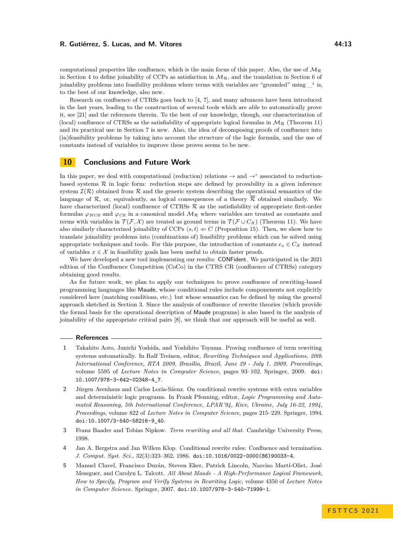Research on confluence of CTRSs goes back to [\[4,](#page-12-5) [7\]](#page-13-6), and many advances have been introduced in the last years, leading to the construction of several tools which are able to automatically prove it, see [\[21\]](#page-14-1) and the references therein. To the best of our knowledge, though, our characterization of (local) confluence of CTRSs as the satisfiability of appropriate logical formulas in  $\mathcal{M}_{\mathcal{R}}$  (Theorem [11\)](#page-5-4) and its practical use in Section [7](#page-8-0) is new. Also, the idea of decomposing proofs of confluence into (in)feasibility problems by taking into account the structure of the logic formula, and the use of constants instead of variables to improve these proves seems to be new.

### <span id="page-12-2"></span>**10 Conclusions and Future Work**

In this paper, we deal with computational (reduction) relations  $\rightarrow$  and  $\rightarrow^*$  associated to reductionbased systems  $R$  in logic form: reduction steps are defined by provability in a given inference system  $\mathcal{I}(\mathcal{R})$  obtained from  $\mathcal{R}$  and the generic system describing the operational semantics of the language of R, or, equivalently, as logical consequences of a theory  $\overline{\mathcal{R}}$  obtained similarly. We have characterized (local) confluence of CTRSs  $R$  as the satisfiability of appropriate first-order formulas  $\varphi_{WCR}$  and  $\varphi_{CR}$  in a canonical model  $\mathcal{M}_{\mathcal{R}}$  where variables are treated as constants and terms with variables in  $\mathcal{T}(\mathcal{F}, \mathcal{X})$  are treated as ground terms in  $\mathcal{T}(\mathcal{F} \cup C_{\mathcal{X}})$  (Theorem [11\)](#page-5-4). We have also similarly characterized joinability of CCPs  $\langle s, t \rangle \leftarrow C$  (Proposition [15\)](#page-6-2). Then, we show how to translate joinability problems into (combinations of) feasibility problems which can be solved using appropriate techniques and tools. For this purpose, the introduction of constants  $c_x \in C_{\mathcal{X}}$  instead of variables  $x \in \mathcal{X}$  in feasibility goals has been useful to obtain faster proofs.

We have developed a new tool implementing our results: CONFident. We participated in the 2021 edition of the Confluence Competition (CoCo) in the CTRS CR (confluence of CTRSs) category obtaining good results.

As for future work, we plan to apply our techniques to prove confluence of rewriting-based programming languages like Maude, whose conditional rules include componenents not explicitly considered here (matching conditions, etc.) but whose semantics can be defined by using the general approach sketched in Section [3.](#page-2-0) Since the analysis of confluence of rewrite theories (which provide the formal basis for the operational description of Maude programs) is also based in the analysis of joinability of the appropriate critical pairs [\[8\]](#page-13-10), we think that our approach will be useful as well.

#### **References**

- <span id="page-12-4"></span>**1** Takahito Aoto, Junichi Yoshida, and Yoshihito Toyama. Proving confluence of term rewriting systems automatically. In Ralf Treinen, editor, *Rewriting Techniques and Applications, 20th International Conference, RTA 2009, Brasília, Brazil, June 29 - July 1, 2009, Proceedings*, volume 5595 of *Lecture Notes in Computer Science*, pages 93–102. Springer, 2009. [doi:](https://doi.org/10.1007/978-3-642-02348-4_7) [10.1007/978-3-642-02348-4\\_7](https://doi.org/10.1007/978-3-642-02348-4_7).
- <span id="page-12-3"></span>**2** Jürgen Avenhaus and Carlos Loría-Sáenz. On conditional rewrite systems with extra variables and deterministic logic programs. In Frank Pfenning, editor, *Logic Programming and Automated Reasoning, 5th International Conference, LPAR'94, Kiev, Ukraine, July 16-22, 1994, Proceedings*, volume 822 of *Lecture Notes in Computer Science*, pages 215–229. Springer, 1994. [doi:10.1007/3-540-58216-9\\_40](https://doi.org/10.1007/3-540-58216-9_40).
- <span id="page-12-0"></span>**3** Franz Baader and Tobias Nipkow. *Term rewriting and all that*. Cambridge University Press, 1998.
- <span id="page-12-5"></span>**4** Jan A. Bergstra and Jan Willem Klop. Conditional rewrite rules: Confluence and termination. *J. Comput. Syst. Sci.*, 32(3):323–362, 1986. [doi:10.1016/0022-0000\(86\)90033-4](https://doi.org/10.1016/0022-0000(86)90033-4).
- <span id="page-12-1"></span>**5** Manuel Clavel, Francisco Durán, Steven Eker, Patrick Lincoln, Narciso Martí-Oliet, José Meseguer, and Carolyn L. Talcott. *All About Maude - A High-Performance Logical Framework, How to Specify, Program and Verify Systems in Rewriting Logic*, volume 4350 of *Lecture Notes in Computer Science*. Springer, 2007. [doi:10.1007/978-3-540-71999-1](https://doi.org/10.1007/978-3-540-71999-1).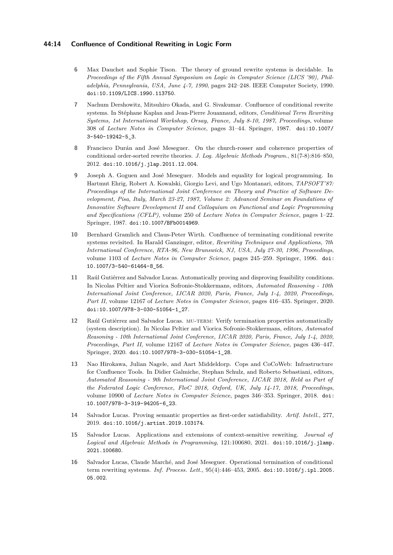#### **44:14 Confluence of Conditional Rewriting in Logic Form**

- <span id="page-13-1"></span>**6** Max Dauchet and Sophie Tison. The theory of ground rewrite systems is decidable. In *Proceedings of the Fifth Annual Symposium on Logic in Computer Science (LICS '90), Philadelphia, Pennsylvania, USA, June 4-7, 1990*, pages 242–248. IEEE Computer Society, 1990. [doi:10.1109/LICS.1990.113750](https://doi.org/10.1109/LICS.1990.113750).
- <span id="page-13-6"></span>**7** Nachum Dershowitz, Mitsuhiro Okada, and G. Sivakumar. Confluence of conditional rewrite systems. In Stéphane Kaplan and Jean-Pierre Jouannaud, editors, *Conditional Term Rewriting Systems, 1st International Workshop, Orsay, France, July 8-10, 1987, Proceedings*, volume 308 of *Lecture Notes in Computer Science*, pages 31–44. Springer, 1987. [doi:10.1007/](https://doi.org/10.1007/3-540-19242-5_3) [3-540-19242-5\\_3](https://doi.org/10.1007/3-540-19242-5_3).
- <span id="page-13-10"></span>**8** Francisco Durán and José Meseguer. On the church-rosser and coherence properties of conditional order-sorted rewrite theories. *J. Log. Algebraic Methods Program.*, 81(7-8):816–850, 2012. [doi:10.1016/j.jlap.2011.12.004](https://doi.org/10.1016/j.jlap.2011.12.004).
- <span id="page-13-2"></span>**9** Joseph A. Goguen and José Meseguer. Models and equality for logical programming. In Hartmut Ehrig, Robert A. Kowalski, Giorgio Levi, and Ugo Montanari, editors, *TAPSOFT'87: Proceedings of the International Joint Conference on Theory and Practice of Software Development, Pisa, Italy, March 23-27, 1987, Volume 2: Advanced Seminar on Foundations of Innovative Software Development II and Colloquium on Functional and Logic Programming and Specifications (CFLP)*, volume 250 of *Lecture Notes in Computer Science*, pages 1–22. Springer, 1987. [doi:10.1007/BFb0014969](https://doi.org/10.1007/BFb0014969).
- <span id="page-13-8"></span>**10** Bernhard Gramlich and Claus-Peter Wirth. Confluence of terminating conditional rewrite systems revisited. In Harald Ganzinger, editor, *Rewriting Techniques and Applications, 7th International Conference, RTA-96, New Brunswick, NJ, USA, July 27-30, 1996, Proceedings*, volume 1103 of *Lecture Notes in Computer Science*, pages 245–259. Springer, 1996. [doi:](https://doi.org/10.1007/3-540-61464-8_56) [10.1007/3-540-61464-8\\_56](https://doi.org/10.1007/3-540-61464-8_56).
- <span id="page-13-0"></span>**11** Raúl Gutiérrez and Salvador Lucas. Automatically proving and disproving feasibility conditions. In Nicolas Peltier and Viorica Sofronie-Stokkermans, editors, *Automated Reasoning - 10th International Joint Conference, IJCAR 2020, Paris, France, July 1-4, 2020, Proceedings, Part II*, volume 12167 of *Lecture Notes in Computer Science*, pages 416–435. Springer, 2020. [doi:10.1007/978-3-030-51054-1\\_27](https://doi.org/10.1007/978-3-030-51054-1_27).
- <span id="page-13-5"></span>12 Raúl Gutiérrez and Salvador Lucas. MU-TERM: Verify termination properties automatically (system description). In Nicolas Peltier and Viorica Sofronie-Stokkermans, editors, *Automated Reasoning - 10th International Joint Conference, IJCAR 2020, Paris, France, July 1-4, 2020, Proceedings, Part II*, volume 12167 of *Lecture Notes in Computer Science*, pages 436–447. Springer, 2020. [doi:10.1007/978-3-030-51054-1\\_28](https://doi.org/10.1007/978-3-030-51054-1_28).
- <span id="page-13-7"></span>**13** Nao Hirokawa, Julian Nagele, and Aart Middeldorp. Cops and CoCoWeb: Infrastructure for Confluence Tools. In Didier Galmiche, Stephan Schulz, and Roberto Sebastiani, editors, *Automated Reasoning - 9th International Joint Conference, IJCAR 2018, Held as Part of the Federated Logic Conference, FloC 2018, Oxford, UK, July 14-17, 2018, Proceedings*, volume 10900 of *Lecture Notes in Computer Science*, pages 346–353. Springer, 2018. [doi:](https://doi.org/10.1007/978-3-319-94205-6_23) [10.1007/978-3-319-94205-6\\_23](https://doi.org/10.1007/978-3-319-94205-6_23).
- <span id="page-13-3"></span>**14** Salvador Lucas. Proving semantic properties as first-order satisfiability. *Artif. Intell.*, 277, 2019. [doi:10.1016/j.artint.2019.103174](https://doi.org/10.1016/j.artint.2019.103174).
- <span id="page-13-9"></span>**15** Salvador Lucas. Applications and extensions of context-sensitive rewriting. *Journal of Logical and Algebraic Methods in Programming*, 121:100680, 2021. [doi:10.1016/j.jlamp.](https://doi.org/10.1016/j.jlamp.2021.100680) [2021.100680](https://doi.org/10.1016/j.jlamp.2021.100680).
- <span id="page-13-4"></span>**16** Salvador Lucas, Claude Marché, and José Meseguer. Operational termination of conditional term rewriting systems. *Inf. Process. Lett.*, 95(4):446–453, 2005. [doi:10.1016/j.ipl.2005.](https://doi.org/10.1016/j.ipl.2005.05.002) [05.002](https://doi.org/10.1016/j.ipl.2005.05.002).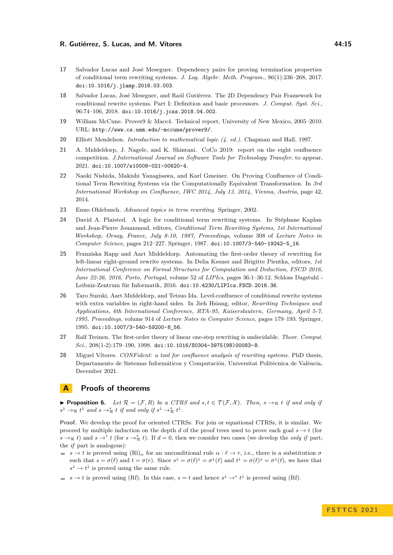- <span id="page-14-2"></span>**17** Salvador Lucas and José Meseguer. Dependency pairs for proving termination properties of conditional term rewriting systems. *J. Log. Algebr. Meth. Program.*, 86(1):236–268, 2017. [doi:10.1016/j.jlamp.2016.03.003](https://doi.org/10.1016/j.jlamp.2016.03.003).
- <span id="page-14-4"></span>**18** Salvador Lucas, José Meseguer, and Raúl Gutiérrez. The 2D Dependency Pair Framework for conditional rewrite systems. Part I: Definition and basic processors. *J. Comput. Syst. Sci.*, 96:74–106, 2018. [doi:10.1016/j.jcss.2018.04.002](https://doi.org/10.1016/j.jcss.2018.04.002).
- <span id="page-14-5"></span>**19** William McCune. Prover9 & Mace4. Technical report, University of New Mexico, 2005–2010. URL: <http://www.cs.unm.edu/~mccune/prover9/>.
- <span id="page-14-3"></span>**20** Elliott Mendelson. *Introduction to mathematical logic (4. ed.)*. Chapman and Hall, 1997.
- <span id="page-14-1"></span>**21** A. Middeldorp, J. Nagele, and K. Shintani. CoCo 2019: report on the eight confluence competition. *J.International Journal on Software Tools for Technology Transfer*, to appear, 2021. [doi:10.1007/s10009-021-00620-4](https://doi.org/10.1007/s10009-021-00620-4).
- <span id="page-14-8"></span>**22** Naoki Nishida, Makishi Yanagisawa, and Karl Gmeiner. On Proving Confluence of Conditional Term Rewriting Systems via the Computationally Equivalent Transformation. In *3rd International Workshop on Confluence, IWC 2014, July 13, 2014, Vienna, Austria*, page 42, 2014.
- <span id="page-14-0"></span>**23** Enno Ohlebusch. *Advanced topics in term rewriting*. Springer, 2002.
- <span id="page-14-9"></span>**24** David A. Plaisted. A logic for conditional term rewriting systems. In Stéphane Kaplan and Jean-Pierre Jouannaud, editors, *Conditional Term Rewriting Systems, 1st International Workshop, Orsay, France, July 8-10, 1987, Proceedings*, volume 308 of *Lecture Notes in Computer Science*, pages 212–227. Springer, 1987. [doi:10.1007/3-540-19242-5\\_16](https://doi.org/10.1007/3-540-19242-5_16).
- <span id="page-14-10"></span>**25** Franziska Rapp and Aart Middeldorp. Automating the first-order theory of rewriting for left-linear right-ground rewrite systems. In Delia Kesner and Brigitte Pientka, editors, *1st International Conference on Formal Structures for Computation and Deduction, FSCD 2016, June 22-26, 2016, Porto, Portugal*, volume 52 of *LIPIcs*, pages 36:1–36:12. Schloss Dagstuhl - Leibniz-Zentrum für Informatik, 2016. [doi:10.4230/LIPIcs.FSCD.2016.36](https://doi.org/10.4230/LIPIcs.FSCD.2016.36).
- <span id="page-14-6"></span>**26** Taro Suzuki, Aart Middeldorp, and Tetsuo Ida. Level-confluence of conditional rewrite systems with extra variables in right-hand sides. In Jieh Hsiang, editor, *Rewriting Techniques and Applications, 6th International Conference, RTA-95, Kaiserslautern, Germany, April 5-7, 1995, Proceedings*, volume 914 of *Lecture Notes in Computer Science*, pages 179–193. Springer, 1995. [doi:10.1007/3-540-59200-8\\_56](https://doi.org/10.1007/3-540-59200-8_56).
- <span id="page-14-11"></span>**27** Ralf Treinen. The first-order theory of linear one-step rewriting is undecidable. *Theor. Comput. Sci.*, 208(1-2):179–190, 1998. [doi:10.1016/S0304-3975\(98\)00083-8](https://doi.org/10.1016/S0304-3975(98)00083-8).
- <span id="page-14-7"></span>**28** Miguel Vítores. *CONFident: a tool for confluence analysis of rewriting systems*. PhD thesis, Departamento de Sistemas Informáticos y Computación. Universitat Politècnica de València, December 2021.

### **A Proofs of theorems**

▶ **Proposition [6.](#page-4-4)** *Let*  $\mathcal{R} = (\mathcal{F}, R)$  *be a CTRS and s,t*  $\in \mathcal{T}(\mathcal{F}, \mathcal{X})$ *. Then, s* →R *t if and only if*  $s^{\downarrow} \rightarrow_{\mathcal{R}} t^{\downarrow}$  and  $s \rightarrow_{\mathcal{R}}^* t$  if and only if  $s^{\downarrow} \rightarrow_{\mathcal{R}}^* t^{\downarrow}$ .

**Proof.** We develop the proof for oriented CTRSs. For join or equational CTRSs, it is similar. We proceed by multiple induction on the depth *d* of the proof trees used to prove each goal  $s \to t$  (for  $s \rightarrow \infty$  *t*) and  $s \rightarrow^* t$  (for  $s \rightarrow^*_{\mathcal{R}} t$ ). If  $d = 0$ , then we consider two cases (we develop the *only if* part; the *if* part is analogous):

- $s \rightarrow t$  is proved using  $(R)$ <sup>*α*</sup> for an unconditional rule  $\alpha : \ell \rightarrow r$ , i.e., there is a substitution  $\sigma$ such that  $s = \sigma(\ell)$  and  $t = \sigma(r)$ . Since  $s^{\downarrow} = \sigma(\ell)^{\downarrow} = \sigma^{\downarrow}(\ell)$  and  $t^{\downarrow} = \sigma(\ell)^{\downarrow} = \sigma^{\downarrow}(\ell)$ , we have that  $s^{\downarrow} \to t^{\downarrow}$  is proved using the same rule.
- $s \to t$  is proved using (Rf). In this case,  $s = t$  and hence  $s^{\downarrow} \to^* t^{\downarrow}$  is proved using (Rf).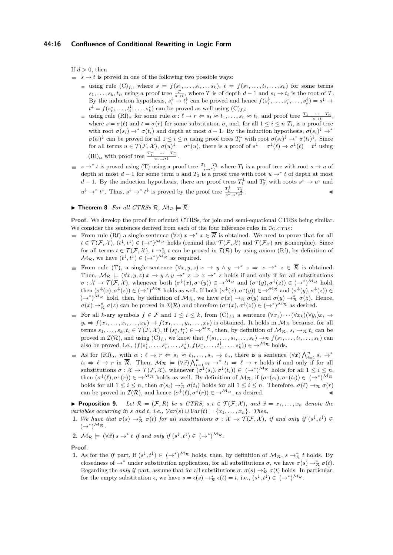If  $d > 0$ , then

- $s \rightarrow t$  is proved in one of the following two possible ways:
	- $\mathbf{v} = \text{using rule } (\mathbf{C})_{f,i}$  where  $s = f(s_1, \ldots, s_i, \ldots s_k)$ ,  $t = f(s_1, \ldots, t_i, \ldots, s_k)$  for some terms  $s_1, \ldots, s_k, t_i$ , using a proof tree  $\frac{T}{s \to t}$ , where *T* is of depth *d* − 1 and  $s_i \to t_i$  is the root of *T*. By the induction hypothesis,  $s_i^{\downarrow} \to t_i^{\downarrow}$  can be proved and hence  $f(s_i^{\downarrow}, \ldots, s_i^{\downarrow}, \ldots, s_k^{\downarrow}) = s^{\downarrow} \to$  $t^{\downarrow} = f(s_i^{\downarrow}, \ldots, t_i^{\downarrow}, \ldots, s_k^{\downarrow})$  can be proved as well using  $(C)_{f,i}$ .
	- using rule  $(Rl)_{\alpha}$  for some rule  $\alpha: \ell \to r \Leftarrow s_1 \approx t_1, \ldots, s_n \approx t_n$  and proof tree  $\frac{T_1 \cdots T_n}{s \to t}$ , where  $s = \sigma(\ell)$  and  $t = \sigma(r)$  for some substitution  $\sigma$ , and, for all  $1 \leq i \leq n$   $T_i$ , is a proof tree with root  $\sigma(s_i) \to^* \sigma(t_i)$  and depth at most  $d-1$ . By the induction hypothesis,  $\sigma(s_i)^{\downarrow} \to^*$  $\sigma(t_i)^\downarrow$  can be proved for all  $1 \leq i \leq n$  using proof trees  $T_i^\downarrow$  with root  $\sigma(s_i)^\downarrow \to^* \sigma(t_i)^\downarrow$ . Since for all terms  $u \in \mathcal{T}(\mathcal{F}, \mathcal{X}), \sigma(u)^\downarrow = \sigma^\downarrow(u)$ , there is a proof of  $s^\downarrow = \sigma^\downarrow(\ell) \to \sigma^\downarrow(\ell) = t^\downarrow$  using  $(Rl)_{\alpha}$  with proof tree  $\frac{T_1^{\downarrow}}{s^{\downarrow} \to t^{\downarrow}} \cdots \frac{T_n^{\downarrow}}{s^{\downarrow}}$ .
- $s \to^* t$  is proved using (T) using a proof tree  $\frac{T_1 T_2}{s \to^* t}$  where  $T_1$  is a proof tree with root  $s \to u$  of depth at most  $d-1$  for some term  $u$  and  $T_2$  is a proof tree with root  $u \to^* t$  of depth at most *d* − 1. By the induction hypothesis, there are proof trees  $T_1^{\downarrow}$  and  $T_2^{\downarrow}$  with roots  $s^{\downarrow} \to u^{\downarrow}$  and  $u^{\downarrow} \to^* t^{\downarrow}$ . Thus,  $s^{\downarrow} \to^* t^{\downarrow}$  is proved by the proof tree  $\frac{T_1^{\downarrow}}{s^{\downarrow} \to^* t^{\downarrow}}$ .
- $\blacktriangleright$  **Theorem [8](#page-5-7)** *For all CTRSs R,*  $M_R \models \overline{R}$ *.*

**Proof.** We develop the proof for oriented CTRSs, for join and semi-equational CTRSs being similar. We consider the sentences derived from each of the four inference rules in  $\mathfrak{I}_{O-CTRS}$ :

- From rule (Rf) a single sentence  $(\forall x)$   $x \to^* x \in \overline{\mathcal{R}}$  is obtained. We need to prove that for all  $t \in \mathcal{T}(\mathcal{F}, \mathcal{X}), (t^{\downarrow}, t^{\downarrow}) \in (\rightarrow^{*})^{\mathcal{M}_{\mathcal{R}}}$  holds (remind that  $\mathcal{T}(\mathcal{F}, \mathcal{X})$  and  $\mathcal{T}(\mathcal{F}_{\mathcal{X}})$  are isomorphic). Since for all terms  $t \in \mathcal{T}(\mathcal{F}, \mathcal{X}), t \to^*_{\mathcal{R}} t$  can be proved in  $\mathcal{I}(\mathcal{R})$  by using axiom (Rf), by definition of  $\mathcal{M}_{\mathcal{R}}$ , we have  $(t^{\downarrow}, t^{\downarrow}) \in (\rightarrow^{*})^{\mathcal{M}_{\mathcal{R}}}$  as required.
- From rule (T), a single sentence  $(\forall x, y, z) \ x \rightarrow y \land y \rightarrow^* z \Rightarrow x \rightarrow^* z \in \overline{\mathcal{R}}$  is obtained. Then,  $\mathcal{M}_{\mathcal{R}} \models (\forall x, y, z) \ x \rightarrow y \land y \rightarrow^* z \Rightarrow x \rightarrow^* z$  holds if and only if for all substitutions  $\sigma: \mathcal{X} \to \mathcal{T}(\mathcal{F}, \mathcal{X})$ , whenever both  $(\sigma^{\downarrow}(x), \sigma^{\downarrow}(y)) \in \to^{\mathcal{M}_{\mathcal{R}}}$  and  $(\sigma^{\downarrow}(y), \sigma^{\downarrow}(z)) \in (\to^{\ast})^{\mathcal{M}_{\mathcal{R}}}$  hold, then  $(\sigma^{\downarrow}(x), \sigma^{\downarrow}(z)) \in (\rightarrow^{*})^{\mathcal{M}_{\mathcal{R}}}$  holds as well. If both  $(\sigma^{\downarrow}(x), \sigma^{\downarrow}(y)) \in \rightarrow^{\mathcal{M}_{\mathcal{R}}}$  and  $(\sigma^{\downarrow}(y), \sigma^{\downarrow}(z)) \in$  $(\rightarrow^*)^{\mathcal{M}_{\mathcal{R}}}$  hold, then, by definition of  $\mathcal{M}_{\mathcal{R}}$ , we have  $\sigma(x) \rightarrow_{\mathcal{R}} \sigma(y)$  and  $\sigma(y) \rightarrow^*_{\mathcal{R}} \sigma(z)$ . Hence,  $\sigma(x) \to_{\mathcal{R}}^* \sigma(z)$  can be proved in  $\mathcal{I}(\mathcal{R})$  and therefore  $(\sigma^{\downarrow}(x), \sigma^{\downarrow}(z)) \in (\to^*)^{\mathcal{M}_{\mathcal{R}}}$  as desired.
- For all *k*-ary symbols  $f \in \mathcal{F}$  and  $1 \leq i \leq k$ , from  $(C)_{f,i}$  a sentence  $(\forall x_1) \cdots (\forall x_k)(\forall y_i) x_i \rightarrow$  $y_i \Rightarrow f(x_1, \ldots, x_i, \ldots, x_k) \rightarrow f(x_1, \ldots, y_i, \ldots, x_k)$  is obtained. It holds in  $M_{\mathcal{R}}$  because, for all terms  $s_1, \ldots, s_k, t_i \in \mathcal{T}(\mathcal{F}, \mathcal{X})$ , if  $(s_i^{\downarrow}, t_i^{\downarrow}) \in \rightarrow^{\mathcal{M}_{\mathcal{R}}}$ , then, by definition of  $\mathcal{M}_{\mathcal{R}}$ ,  $s_i \rightarrow_{\mathcal{R}} t_i$  can be proved in  $\mathcal{I}(\mathcal{R})$ , and using  $(C)_{f,i}$  we know that  $f(s_1, \ldots, s_i, \ldots, s_k) \rightarrow_{\mathcal{R}} f(s_1, \ldots, t_i, \ldots, s_k)$  can also be proved, i.e.,  $(f(s_1^{\downarrow}, \ldots, s_i^{\downarrow}, \ldots, s_k^{\downarrow}), f(s_1^{\downarrow}, \ldots, t_i^{\downarrow}, \ldots, s_k^{\downarrow})) \in \rightarrow^{\mathcal{M}_{\mathcal{R}}}$  holds.
- As for  $(RI)_{\alpha}$ , with  $\alpha: \ell \to r \Leftarrow s_1 \approx t_1, \ldots, s_n \to t_n$ , there is a sentence  $(\forall \vec{x}) \bigwedge_{i=1}^n s_i \to^*$ ÷.  $t_i \Rightarrow \ell \rightarrow r$  in  $\overline{\mathcal{R}}$ . Then,  $\mathcal{M}_{\mathcal{R}} \models (\forall \vec{x}) \bigwedge_{i=1}^n s_i \rightarrow^* t_i \Rightarrow \ell \rightarrow r$  holds if and only if for all substitutions  $\sigma: \mathcal{X} \to \mathcal{T}(\mathcal{F}, \mathcal{X})$ , whenever  $(\sigma^{\downarrow}(s_i), \sigma^{\downarrow}(t_i)) \in (\to^*)^{\mathcal{M}_{\mathcal{R}}}$  holds for all  $1 \leq i \leq n$ , then  $(\sigma^{\downarrow}(\ell), \sigma^{\downarrow}(r)) \in \mathcal{A}^{\mathcal{M}_{\mathcal{R}}}$  holds as well. By definition of  $\mathcal{M}_{\mathcal{R}}$ , if  $(\sigma^{\downarrow}(s_i), \sigma^{\downarrow}(t_i)) \in (\mathcal{A}^*)^{\mathcal{M}_{\mathcal{R}}}$ holds for all  $1 \leq i \leq n$ , then  $\sigma(s_i) \to_{\mathcal{R}}^* \sigma(t_i)$  holds for all  $1 \leq i \leq n$ . Therefore,  $\sigma(\ell) \to_{\mathcal{R}} \sigma(r)$ can be proved in  $\mathcal{I}(\mathcal{R})$ , and hence  $(\sigma^{\downarrow}(\ell), \sigma^{\downarrow}(r)) \in \rightarrow^{\mathcal{M}_{\mathcal{R}}}$ , as desired.

▶ **Proposition [9.](#page-5-2)** *Let*  $\mathcal{R} = (\mathcal{F}, R)$  *be a CTRS, s,t*  $\in \mathcal{T}(\mathcal{F}, \mathcal{X})$ *, and*  $\vec{x} = x_1, \ldots, x_n$  *denote the variables occurring in s and t, i.e.,*  $Var(s) \cup Var(t) = \{x_1, \ldots, x_n\}$ *. Then,* 

- **1.** We have that  $\sigma(s) \to_{\mathcal{R}}^* \sigma(t)$  for all substitutions  $\sigma: \mathcal{X} \to \mathcal{T}(\mathcal{F}, \mathcal{X})$ , if and only if  $(s^{\downarrow}, t^{\downarrow}) \in$  $(\rightarrow^*)^{\mathcal{M}_{\mathcal{R}}}$ .
- 2.  $\mathcal{M}_{\mathcal{R}} \models (\forall \vec{x}) s \rightarrow^* t \text{ if and only if } (s^{\downarrow}, t^{\downarrow}) \in (\rightarrow^*)^{\mathcal{M}_{\mathcal{R}}}$ .

**Proof.**

1. As for the *if* part, if  $(s^{\downarrow}, t^{\downarrow}) \in (\rightarrow^{*})^{\mathcal{M}_{\mathcal{R}}}$  holds, then, by definition of  $\mathcal{M}_{\mathcal{R}}$ ,  $s \rightarrow^{*}_{\mathcal{R}} t$  holds. By closedness of  $\rightarrow^*$  under substitution application, for all substitutions  $\sigma$ , we have  $\sigma(s) \rightarrow^*_{\mathcal{R}} \sigma(t)$ . Regarding the *only if* part, assume that for all substitutions  $\sigma$ ,  $\sigma(s) \to_{\mathcal{R}}^* \sigma(t)$  holds. In particular, for the empty substitution  $\epsilon$ , we have  $s = \epsilon(s) \to_{\mathcal{R}}^* \epsilon(t) = t$ , i.e.,  $(s^{\downarrow}, t^{\downarrow}) \in (\to^*)^{\mathcal{M}_{\mathcal{R}}}$ .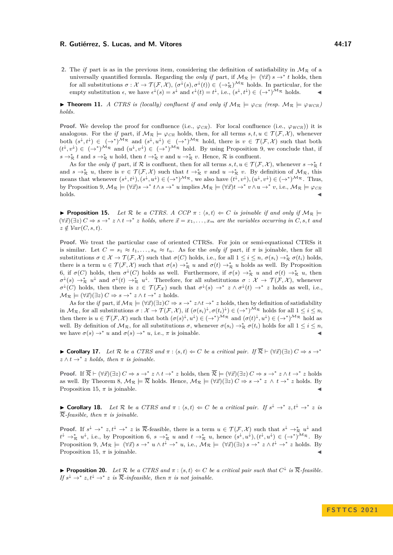**2.** The *if* part is as in the previous item, considering the definition of satisfiability in  $\mathcal{M}_{\mathcal{R}}$  of a universally quantified formula. Regarding the *only if* part, if  $M_R \models (\forall \vec{x}) s \rightarrow^* t$  holds, then for all substitutions  $\sigma: \mathcal{X} \to \mathcal{T}(\mathcal{F}, \mathcal{X}), (\sigma^{\downarrow}(s), \sigma^{\downarrow}(t)) \in (\to_{\mathcal{R}}^{*})^{\mathcal{M}_{\mathcal{R}}}$  holds. In particular, for the empty substitution  $\epsilon$ , we have  $\epsilon^{\downarrow}(s) = s^{\downarrow}$  and  $\epsilon^{\downarrow}(t) = t^{\downarrow}$ , i.e.,  $(s^{\downarrow}, t^{\downarrow}) \in (\rightarrow^{*})^{\mathcal{M}_{\mathcal{R}}}$  holds.

▶ **Theorem [11.](#page-5-4)** *A CTRS is (locally) confluent if and only if*  $M_R \models \varphi_{CR}$  *(resp.*  $M_R \models \varphi_{WCR}$ *) holds.*

**Proof.** We develop the proof for confluence (i.e.,  $\varphi_{CR}$ ). For local confluence (i.e.,  $\varphi_{WCR}$ )) it is analogous. For the *if* part, if  $M_R \models \varphi_{CR}$  holds, then, for all terms  $s, t, u \in \mathcal{T}(\mathcal{F}, \mathcal{X})$ , whenever both  $(s^{\downarrow}, t^{\downarrow}) \in (\rightarrow^{*})^{M_{\mathcal{R}}}$  and  $(s^{\downarrow}, u^{\downarrow}) \in (\rightarrow^{*})^{M_{\mathcal{R}}}$  hold, there is  $v \in \mathcal{T}(\mathcal{F}, \mathcal{X})$  such that both  $(t^{\downarrow}, v^{\downarrow}) \in (\rightarrow^*)^{\mathcal{M}_{\mathcal{R}}}$  and  $(u^{\downarrow}, v^{\downarrow}) \in (\rightarrow^*)^{\mathcal{M}_{\mathcal{R}}}$  hold. By using Proposition [9,](#page-5-2) we conclude that, if  $s \to_{\mathcal{R}}^* t$  and  $s \to_{\mathcal{R}}^* u$  hold, then  $t \to_{\mathcal{R}}^* v$  and  $u \to_{\mathcal{R}}^* v$ . Hence,  $\mathcal{R}$  is confluent.

As for the *only if* part, if R is confluent, then for all terms  $s, t, u \in \mathcal{T}(\mathcal{F}, \mathcal{X})$ , whenever  $s \to^*_{\mathcal{R}} t$ and  $s \to_{\mathcal{R}}^* u$ , there is  $v \in \mathcal{T}(\mathcal{F}, \mathcal{X})$  such that  $t \to_{\mathcal{R}}^* v$  and  $u \to_{\mathcal{R}}^* v$ . By definition of  $\mathcal{M}_{\mathcal{R}}$ , this means that whenever  $(s^{\downarrow}, t^{\downarrow}), (s^{\downarrow}, u^{\downarrow}) \in (\rightarrow^*)^{\mathcal{M}_{\mathcal{R}}}$ , we also have  $(t^{\downarrow}, v^{\downarrow}), (u^{\downarrow}, v^{\downarrow}) \in (\rightarrow^*)^{\mathcal{M}_{\mathcal{R}}}$ . Thus, by Proposition [9,](#page-5-2)  $M_{\mathcal{R}} \models (\forall \vec{x})s \rightarrow^* t \land s \rightarrow^* u$  implies  $M_{\mathcal{R}} \models (\forall \vec{x})t \rightarrow^* v \land u \rightarrow^* v$ , i.e.,  $M_{\mathcal{R}} \models \varphi_{CR}$ holds.

**• Proposition [15.](#page-6-2)** Let R be a CTRS. A CCP  $\pi$  :  $\langle s, t \rangle \Leftarrow C$  is joinable if and only if  $\mathcal{M}_{\mathcal{R}} \models$  $(\forall \vec{x})(\exists z) C \Rightarrow s \rightarrow^* z \land t \rightarrow^* z$  holds, where  $\vec{x} = x_1, \ldots, x_m$  are the variables occurring in *C*, *s*, *t* and  $z \notin Var(C, s, t)$ .

**Proof.** We treat the particular case of oriented CTRSs. For join or semi-equational CTRSs it is similar. Let  $C = s_1 \approx t_1, \ldots, s_n \approx t_n$ . As for the *only if* part, if  $\pi$  is joinable, then for all substitutions  $\sigma \in \mathcal{X} \to \mathcal{T}(\mathcal{F}, \mathcal{X})$  such that  $\sigma(C)$  holds, i.e., for all  $1 \leq i \leq n$ ,  $\sigma(s_i) \to_{\mathcal{R}}^* \sigma(t_i)$  holds, there is a term  $u \in \mathcal{T}(\mathcal{F}, \mathcal{X})$  such that  $\sigma(s) \to_{\mathcal{R}}^* u$  and  $\sigma(t) \to_{\mathcal{R}}^* u$  holds as well. By Proposition [6,](#page-4-4) if  $\sigma(C)$  holds, then  $\sigma^{\downarrow}(C)$  holds as well. Furthermore, if  $\sigma(s) \to_{\mathcal{R}}^* u$  and  $\sigma(t) \to_{\mathcal{R}}^* u$ , then  $\sigma^{\downarrow}(s) \to_{\mathcal{R}}^* u^{\downarrow}$  and  $\sigma^{\downarrow}(t) \to_{\mathcal{R}}^* u^{\downarrow}$ . Therefore, for all substitutions  $\sigma : \mathcal{X} \to \mathcal{T}(\mathcal{F}, \mathcal{X})$ , whenever  $\sigma^{\downarrow}(C)$  holds, then there is  $z \in \mathcal{T}(\mathcal{F}_\mathcal{X})$  such that  $\sigma^{\downarrow}(s) \to^* z \wedge \sigma^{\downarrow}(t) \to^* z$  holds as well, i.e.,  $\mathcal{M}_{\mathcal{R}} \models (\forall \vec{x}) (\exists z) C \Rightarrow s \rightarrow^* z \land t \rightarrow^* z \text{ holds.}$ 

As for the *if* part, if  $M_R \models (\forall \vec{x})(\exists z)C \Rightarrow s \rightarrow^* z \land t \rightarrow^* z$  holds, then by definition of satisfiability in  $\mathcal{M}_{\mathcal{R}}$ , for all substitutions  $\sigma : \mathcal{X} \to \mathcal{T}(\mathcal{F},\mathcal{X})$ , if  $(\sigma(s_i)^{\downarrow}, \sigma(t_i)^{\downarrow}) \in (\to^*)^{\mathcal{M}_{\mathcal{R}}}$  holds for all  $1 \leq i \leq n$ , then there is  $u \in \mathcal{T}(\mathcal{F}, \mathcal{X})$  such that both  $(\sigma(s)^{\downarrow}, u^{\downarrow}) \in (\rightarrow^{*})^{\mathcal{M}_{\mathcal{R}}}$  and  $(\sigma(t)^{\downarrow}, u^{\downarrow}) \in (\rightarrow^{*})^{\mathcal{M}_{\mathcal{R}}}$  hold as well. By definition of  $\mathcal{M}_{\mathcal{R}}$ , for all substitutions  $\sigma$ , whenever  $\sigma(s_i) \to_{\mathcal{R}}^* \sigma(t_i)$  holds for all  $1 \leq i \leq n$ , we have  $\sigma(s) \to^* u$  and  $\sigma(s) \to^* u$ , i.e.,  $\pi$  is joinable.

▶ **Corollary [17.](#page-7-6)** Let R be a CTRS and  $\pi$  :  $\langle s,t \rangle \Leftarrow C$  be a critical pair. If  $\overline{R}$   $\vdash (\forall \vec{x}) (\exists z) C \Rightarrow s \rightarrow^*$  $z \wedge t \rightarrow^* z$  *holds, then*  $\pi$  *is joinable.* 

**Proof.** If  $\overline{\mathcal{R}}$   $\vdash (\forall \vec{x})(\exists z) C \Rightarrow s \rightarrow^* z \land t \rightarrow^* z$  holds, then  $\overline{\mathcal{R}}$   $\vdash (\forall \vec{x})(\exists z) C \Rightarrow s \rightarrow^* z \land t \rightarrow^* z$  holds as well. By Theorem [8,](#page-5-7)  $M_{\mathcal{R}} \models \overline{\mathcal{R}}$  holds. Hence,  $M_{\mathcal{R}} \models (\forall \vec{x})(\exists z) C \Rightarrow s \rightarrow^* z \land t \rightarrow^* z$  holds. By Proposition [15,](#page-6-2)  $\pi$  is joinable.

▶ **Corollary [18.](#page-7-1)** Let R be a CTRS and  $π$  :  $\langle s,t \rangle \Leftarrow C$  be a critical pair. If  $s^{\downarrow} \rightarrow^* z, t^{\downarrow} \rightarrow^* z$  is R*-feasible, then π is joinable.*

**Proof.** If  $s^{\downarrow} \to^* z$ ,  $t^{\downarrow} \to^* z$  is  $\overline{\mathcal{R}}$ -feasible, there is a term  $u \in \mathcal{T}(\mathcal{F}, \mathcal{X})$  such that  $s^{\downarrow} \to^*_{\mathcal{R}} u^{\downarrow}$  and  $t^{\downarrow} \to_{\mathcal{R}}^* u^{\downarrow}$ , i.e., by Proposition [6,](#page-4-4)  $s \to_{\mathcal{R}}^* u$  and  $t \to_{\mathcal{R}}^* u$ , hence  $(s^{\downarrow}, u^{\downarrow})$ ,  $(t^{\downarrow}, u^{\downarrow}) \in (\to^*)^{\mathcal{M}_{\mathcal{R}}}$ . By Proposition [9,](#page-5-2)  $M_{\mathcal{R}} \models (\forall \vec{x}) s \rightarrow^* u \wedge t^{\downarrow} \rightarrow^* u$ , i.e.,  $M_{\mathcal{R}} \models (\forall \vec{x}) (\exists z) s \rightarrow^* z \wedge t^{\downarrow} \rightarrow^* z$  holds. By Proposition [15,](#page-6-2)  $\pi$  is joinable.

**► Proposition [20.](#page-7-2)** Let R be a CTRS and  $\pi$  :  $\langle s,t \rangle \Leftarrow C$  be a critical pair such that  $C^{\downarrow}$  is  $\overline{\mathcal{R}}$ -feasible. *If*  $s^{\downarrow} \rightarrow^* z, t^{\downarrow} \rightarrow^* z$  *is*  $\overline{\mathcal{R}}$ -infeasible, then  $\pi$  *is not joinable.*